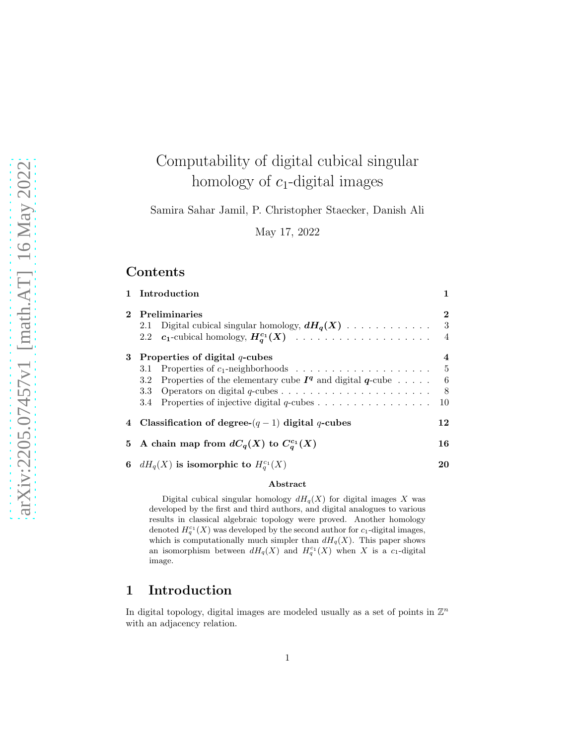# Computability of digital cubical singular homology of  $c_1$ -digital images

Samira Sahar Jamil, P. Christopher Staecker, Danish Ali

May 17, 2022

# Contents

|              | 1 Introduction                                                                                                                |                                    |
|--------------|-------------------------------------------------------------------------------------------------------------------------------|------------------------------------|
| $\mathbf{2}$ | <b>Preliminaries</b><br>Digital cubical singular homology, $dH_q(X)$<br>2.1<br>2.2 $c_1$ -cubical homology, $H_q^{c_1}(X)$    | $\mathbf 2$<br>3<br>$\overline{4}$ |
| 3            | Properties of digital $q$ -cubes<br>3.1<br>Properties of the elementary cube $I^q$ and digital $q$ -cube<br>3.2<br>3.3<br>3.4 | 4<br>$\frac{5}{2}$<br>6<br>8<br>10 |
|              | 4 Classification of degree- $(q-1)$ digital q-cubes                                                                           | 12                                 |
| 5.           | A chain map from $dC_q(X)$ to $C_q^{c_1}(X)$                                                                                  | 16                                 |
| 6            | $dH_q(X)$ is isomorphic to $H_q^{c_1}(X)$                                                                                     | 20                                 |

#### Abstract

Digital cubical singular homology  $dH_q(X)$  for digital images X was developed by the first and third authors, and digital analogues to various results in classical algebraic topology were proved. Another homology denoted  $H_q^{c_1}(X)$  was developed by the second author for  $c_1$ -digital images, which is computationally much simpler than  $dH_q(X)$ . This paper shows an isomorphism between  $dH_q(X)$  and  $H_q^{c_1}(X)$  when X is a c<sub>1</sub>-digital image.

# 1 Introduction

In digital topology, digital images are modeled usually as a set of points in  $\mathbb{Z}^n$ with an adjacency relation.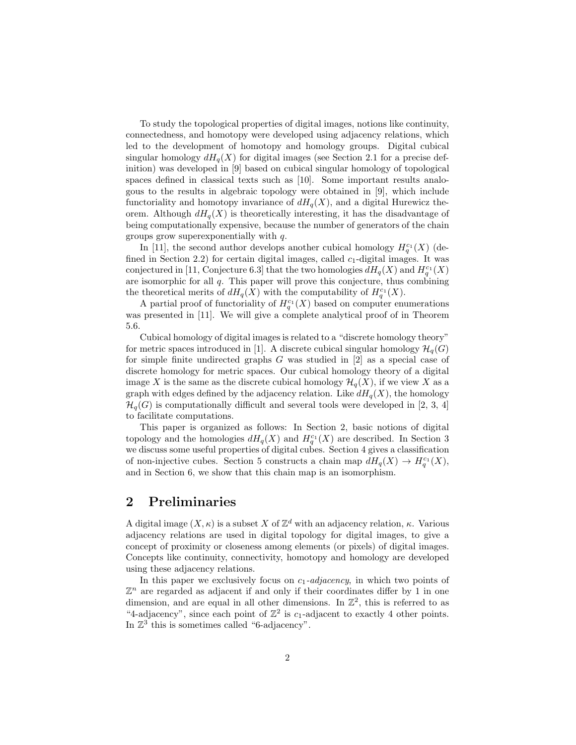To study the topological properties of digital images, notions like continuity, connectedness, and homotopy were developed using adjacency relations, which led to the development of homotopy and homology groups. Digital cubical singular homology  $dH_q(X)$  for digital images (see Section 2.1 for a precise definition) was developed in [9] based on cubical singular homology of topological spaces defined in classical texts such as [10]. Some important results analogous to the results in algebraic topology were obtained in [9], which include functoriality and homotopy invariance of  $dH_q(X)$ , and a digital Hurewicz theorem. Although  $dH_q(X)$  is theoretically interesting, it has the disadvantage of being computationally expensive, because the number of generators of the chain groups grow superexponentially with q.

In [11], the second author develops another cubical homology  $H_q^{c_1}(X)$  (defined in Section 2.2) for certain digital images, called  $c_1$ -digital images. It was conjectured in [11, Conjecture 6.3] that the two homologies  $dH_q(X)$  and  $H_q^{c_1}(X)$ are isomorphic for all q. This paper will prove this conjecture, thus combining the theoretical merits of  $dH_q(X)$  with the computability of  $H_q^{c_1}(X)$ .

A partial proof of functoriality of  $H_q^{c_1}(X)$  based on computer enumerations was presented in [11]. We will give a complete analytical proof of in Theorem 5.6.

Cubical homology of digital images is related to a "discrete homology theory" for metric spaces introduced in [1]. A discrete cubical singular homology  $\mathcal{H}_q(G)$ for simple finite undirected graphs  $G$  was studied in [2] as a special case of discrete homology for metric spaces. Our cubical homology theory of a digital image X is the same as the discrete cubical homology  $\mathcal{H}_q(X)$ , if we view X as a graph with edges defined by the adjacency relation. Like  $dH_q(X)$ , the homology  $\mathcal{H}_q(G)$  is computationally difficult and several tools were developed in [2, 3, 4] to facilitate computations.

This paper is organized as follows: In Section 2, basic notions of digital topology and the homologies  $dH_q(X)$  and  $H_q^{c_1}(X)$  are described. In Section 3 we discuss some useful properties of digital cubes. Section 4 gives a classification of non-injective cubes. Section 5 constructs a chain map  $dH_q(X) \to H_q^{c_1}(X)$ , and in Section 6, we show that this chain map is an isomorphism.

## 2 Preliminaries

A digital image  $(X, \kappa)$  is a subset X of  $\mathbb{Z}^d$  with an adjacency relation,  $\kappa$ . Various adjacency relations are used in digital topology for digital images, to give a concept of proximity or closeness among elements (or pixels) of digital images. Concepts like continuity, connectivity, homotopy and homology are developed using these adjacency relations.

In this paper we exclusively focus on  $c_1$ -adjacency, in which two points of  $\mathbb{Z}^n$  are regarded as adjacent if and only if their coordinates differ by 1 in one dimension, and are equal in all other dimensions. In  $\mathbb{Z}^2$ , this is referred to as "4-adjacency", since each point of  $\mathbb{Z}^2$  is  $c_1$ -adjacent to exactly 4 other points. In  $\mathbb{Z}^3$  this is sometimes called "6-adjacency".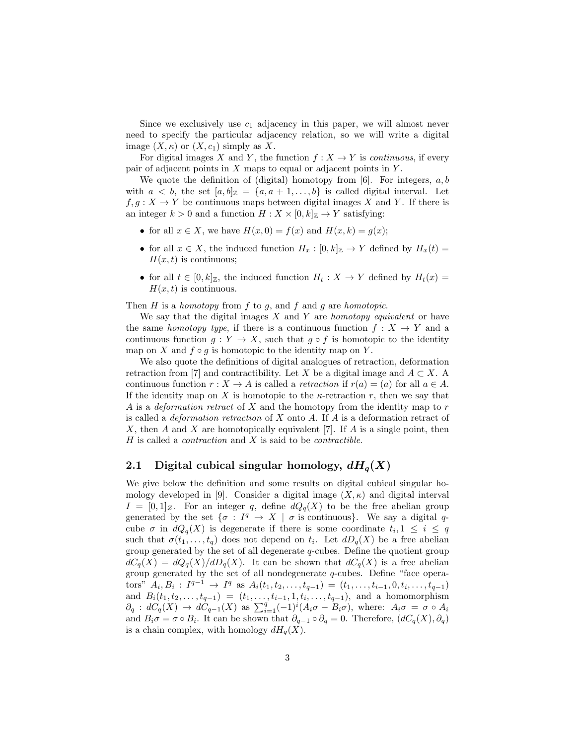Since we exclusively use  $c_1$  adjacency in this paper, we will almost never need to specify the particular adjacency relation, so we will write a digital image  $(X, \kappa)$  or  $(X, c_1)$  simply as X.

For digital images X and Y, the function  $f: X \to Y$  is *continuous*, if every pair of adjacent points in  $X$  maps to equal or adjacent points in  $Y$ .

We quote the definition of (digital) homotopy from  $[6]$ . For integers,  $a, b$ with  $a < b$ , the set  $[a, b]_{\mathbb{Z}} = \{a, a+1, \ldots, b\}$  is called digital interval. Let  $f, g: X \to Y$  be continuous maps between digital images X and Y. If there is an integer  $k > 0$  and a function  $H : X \times [0, k]_{\mathbb{Z}} \to Y$  satisfying:

- for all  $x \in X$ , we have  $H(x, 0) = f(x)$  and  $H(x, k) = g(x)$ ;
- for all  $x \in X$ , the induced function  $H_x : [0, k]_{\mathbb{Z}} \to Y$  defined by  $H_x(t) =$  $H(x, t)$  is continuous;
- for all  $t \in [0, k]_{\mathbb{Z}}$ , the induced function  $H_t : X \to Y$  defined by  $H_t(x) =$  $H(x, t)$  is continuous.

Then  $H$  is a homotopy from  $f$  to  $g$ , and  $f$  and  $g$  are homotopic.

We say that the digital images  $X$  and  $Y$  are *homotopy equivalent* or have the same *homotopy type*, if there is a continuous function  $f : X \to Y$  and a continuous function  $g: Y \to X$ , such that  $g \circ f$  is homotopic to the identity map on X and  $f \circ g$  is homotopic to the identity map on Y.

We also quote the definitions of digital analogues of retraction, deformation retraction from [7] and contractibility. Let X be a digital image and  $A \subset X$ . A continuous function  $r : X \to A$  is called a *retraction* if  $r(a) = (a)$  for all  $a \in A$ . If the identity map on X is homotopic to the  $\kappa$ -retraction r, then we say that A is a *deformation retract* of X and the homotopy from the identity map to r is called a *deformation retraction* of  $X$  onto  $A$ . If  $A$  is a deformation retract of X, then A and X are homotopically equivalent [7]. If A is a single point, then  $H$  is called a *contraction* and  $X$  is said to be *contractible*.

## 2.1 Digital cubical singular homology,  $dH<sub>q</sub>(X)$

We give below the definition and some results on digital cubical singular homology developed in [9]. Consider a digital image  $(X, \kappa)$  and digital interval  $I = [0,1]_Z$ . For an integer q, define  $dQ_q(X)$  to be the free abelian group generated by the set  $\{\sigma : I^q \to X \mid \sigma \text{ is continuous}\}.$  We say a digital qcube  $\sigma$  in  $dQ_q(X)$  is degenerate if there is some coordinate  $t_i, 1 \leq i \leq q$ such that  $\sigma(t_1,\ldots,t_q)$  does not depend on  $t_i$ . Let  $dD_q(X)$  be a free abelian group generated by the set of all degenerate  $q$ -cubes. Define the quotient group  $dC_q(X) = dQ_q(X)/dD_q(X)$ . It can be shown that  $dC_q(X)$  is a free abelian group generated by the set of all nondegenerate q-cubes. Define "face operators"  $A_i, B_i: I^{q-1} \to I^q$  as  $A_i(t_1, t_2, \ldots, t_{q-1}) = (t_1, \ldots, t_{i-1}, 0, t_i, \ldots, t_{q-1})$ and  $B_i(t_1, t_2, \ldots, t_{q-1}) = (t_1, \ldots, t_{i-1}, 1, t_i, \ldots, t_{q-1}),$  and a homomorphism  $\partial_q : dC_q(X) \to dC_{q-1}(X)$  as  $\sum_{i=1}^q (-1)^i (A_i \sigma - B_i \sigma)$ , where:  $A_i \sigma = \sigma \circ A_i$ and  $B_i \sigma = \sigma \circ B_i$ . It can be shown that  $\partial_{q-1} \circ \partial_q = 0$ . Therefore,  $(dC_q(X), \partial_q)$ is a chain complex, with homology  $dH_q(X)$ .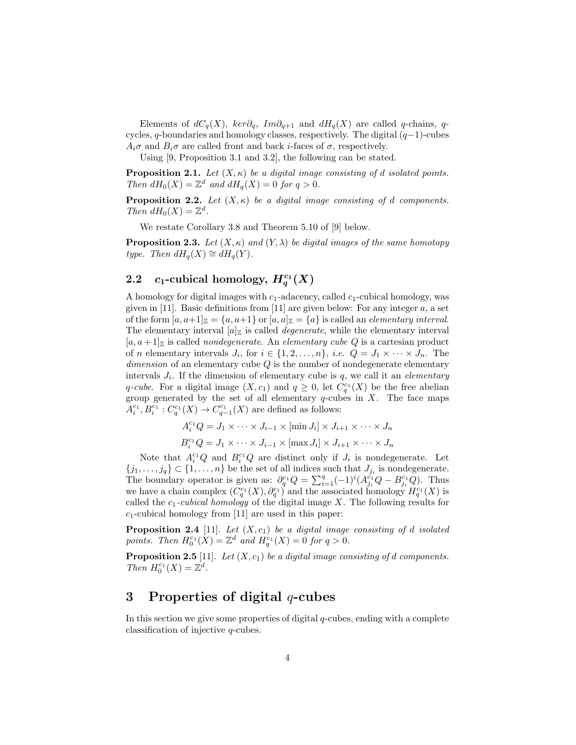Elements of  $dC_q(X)$ ,  $ker\partial_q$ ,  $Im\partial_{q+1}$  and  $dH_q(X)$  are called q-chains, qcycles, q-boundaries and homology classes, respectively. The digital  $(q-1)$ -cubes  $A_i\sigma$  and  $B_i\sigma$  are called front and back *i*-faces of  $\sigma$ , respectively.

Using [9, Proposition 3.1 and 3.2], the following can be stated.

**Proposition 2.1.** Let  $(X, \kappa)$  be a digital image consisting of d isolated points. Then  $dH_0(X) = \mathbb{Z}^d$  and  $dH_q(X) = 0$  for  $q > 0$ .

**Proposition 2.2.** Let  $(X, \kappa)$  be a digital image consisting of d components. Then  $dH_0(X) = \mathbb{Z}^d$ .

We restate Corollary 3.8 and Theorem 5.10 of [9] below.

**Proposition 2.3.** Let  $(X, \kappa)$  and  $(Y, \lambda)$  be digital images of the same homotopy type. Then  $dH_q(X) \cong dH_q(Y)$ .

# 2.2  $c_1$ -cubical homology,  $H_q^{c_1}(X)$

A homology for digital images with  $c_1$ -adacency, called  $c_1$ -cubical homology, was given in [11]. Basic definitions from [11] are given below: For any integer  $a$ , a set of the form  $[a, a+1]_{{\mathbb{Z}}} = \{a, a+1\}$  or  $[a, a]_{{\mathbb{Z}}} = \{a\}$  is called an *elementary interval.* The elementary interval  $[a]_{{\mathbb{Z}}}$  is called *degenerate*, while the elementary interval  $[a, a+1]_{{\mathbb{Z}}}$  is called *nondegenerate*. An *elementary cube Q* is a cartesian product of *n* elementary intervals  $J_i$ , for  $i \in \{1, 2, ..., n\}$ , *i.e.*  $Q = J_1 \times \cdots \times J_n$ . The  $dimension of an elementary cube Q$  is the number of nondegenerate elementary intervals  $J_i$ . If the dimension of elementary cube is  $q$ , we call it an *elementary* q-cube. For a digital image  $(X, c_1)$  and  $q \geq 0$ , let  $C_q^{c_1}(X)$  be the free abelian group generated by the set of all elementary  $q$ -cubes in  $X$ . The face maps  $A_i^{c_1}, B_i^{c_1} : C_q^{c_1}(X) \to C_{q-1}^{c_1}(X)$  are defined as follows:

$$
A_i^{c_1} Q = J_1 \times \cdots \times J_{i-1} \times [\min J_i] \times J_{i+1} \times \cdots \times J_n
$$
  

$$
B_i^{c_1} Q = J_1 \times \cdots \times J_{i-1} \times [\max J_i] \times J_{i+1} \times \cdots \times J_n
$$

Note that  $A_i^{c_1}Q$  and  $B_i^{c_1}Q$  are distinct only if  $J_i$  is nondegenerate. Let  $\{j_1, \ldots, j_q\} \subset \{1, \ldots, n\}$  be the set of all indices such that  $J_{j_i}$  is nondegenerate. The boundary operator is given as:  $\partial_q^{c_1} Q = \sum_{i=1}^q (-1)^i (A_{j_i}^{c_1} Q - B_{j_i}^{c_1} Q)$ . Thus we have a chain complex  $(C_q^{c_1}(X), \partial_q^{c_1})$  and the associated homology  $H_q^{c_1}(X)$  is called the  $c_1$ -cubical homology of the digital image X. The following results for  $c_1$ -cubical homology from [11] are used in this paper:

**Proposition 2.4** [11]. Let  $(X, c_1)$  be a digital image consisting of d isolated points. Then  $H_0^{c_1}(X) = \mathbb{Z}^d$  and  $H_q^{c_1}(X) = 0$  for  $q > 0$ .

**Proposition 2.5** [11]. Let  $(X, c_1)$  be a digital image consisting of d components. Then  $H_0^{c_1}(X) = \mathbb{Z}^d$ .

## 3 Properties of digital  $q$ -cubes

In this section we give some properties of digital  $q$ -cubes, ending with a complete classification of injective q-cubes.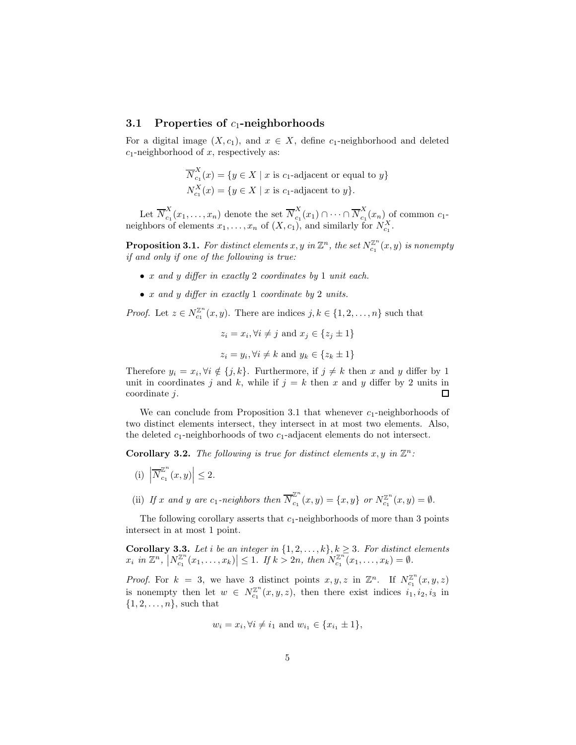#### 3.1 Properties of  $c_1$ -neighborhoods

For a digital image  $(X, c_1)$ , and  $x \in X$ , define c<sub>1</sub>-neighborhood and deleted  $c_1$ -neighborhood of x, respectively as:

$$
\overline{N}_{c_1}^X(x) = \{ y \in X \mid x \text{ is } c_1\text{-adjacent or equal to } y \}
$$
  

$$
N_{c_1}^X(x) = \{ y \in X \mid x \text{ is } c_1\text{-adjacent to } y \}.
$$

Let  $\overline{N}_{c_1}^X$  $\frac{X}{C_1}(x_1,\ldots,x_n)$  denote the set  $\overline{N}_{c_1}^X$  $c_1^X(x_1) \cap \cdots \cap \overline{N}_{c_1}^X$  $c_1(x_n)$  of common  $c_1$ neighbors of elements  $x_1, \ldots, x_n$  of  $(X, c_1)$ , and similarly for  $N_{c_1}^X$ .

**Proposition 3.1.** For distinct elements  $x, y$  in  $\mathbb{Z}^n$ , the set  $N_{c_1}^{\mathbb{Z}^n}(x, y)$  is nonempty if and only if one of the following is true:

- x and y differ in exactly 2 coordinates by 1 unit each.
- x and y differ in exactly 1 coordinate by 2 units.

*Proof.* Let  $z \in N_{c_1}^{\mathbb{Z}^n}(x, y)$ . There are indices  $j, k \in \{1, 2, ..., n\}$  such that

$$
z_i = x_i, \forall i \neq j \text{ and } x_j \in \{z_j \pm 1\}
$$
  
 $z_i = y_i, \forall i \neq k \text{ and } y_k \in \{z_k \pm 1\}$ 

Therefore  $y_i = x_i, \forall i \notin \{j, k\}$ . Furthermore, if  $j \neq k$  then x and y differ by 1 unit in coordinates j and k, while if  $j = k$  then x and y differ by 2 units in coordinate j.  $\Box$ 

We can conclude from Proposition 3.1 that whenever  $c_1$ -neighborhoods of two distinct elements intersect, they intersect in at most two elements. Also, the deleted  $c_1$ -neighborhoods of two  $c_1$ -adjacent elements do not intersect.

**Corollary 3.2.** The following is true for distinct elements  $x, y$  in  $\mathbb{Z}^n$ :

- (i)  $\left| \overline{N}^{\mathbb{Z}^n}_{c_1} \right|$  $\left|\frac{\mathbb{Z}^n}{c_1}(x,y)\right| \leq 2.$
- (ii) If x and y are c<sub>1</sub>-neighbors then  $\overline{N}_{c_1}^{\mathbb{Z}^n}$  $C_{c_1}^{Z^n}(x,y) = \{x,y\}$  or  $N_{c_1}^{Z^n}(x,y) = \emptyset$ .

The following corollary asserts that  $c_1$ -neighborhoods of more than 3 points intersect in at most 1 point.

**Corollary 3.3.** Let i be an integer in  $\{1, 2, \ldots, k\}, k \geq 3$ . For distinct elements  $x_i$  in  $\mathbb{Z}^n$ ,  $\left|N_{c_1}^{\mathbb{Z}^n}(x_1,\ldots,x_k)\right| \leq 1$ . If  $k > 2n$ , then  $N_{c_1}^{\mathbb{Z}^n}(x_1,\ldots,x_k) = \emptyset$ .

*Proof.* For  $k = 3$ , we have 3 distinct points  $x, y, z$  in  $\mathbb{Z}^n$ . If  $N_{c_1}^{\mathbb{Z}^n}(x, y, z)$ is nonempty then let  $w \in N_{c_1}^{\mathbb{Z}^n}(x,y,z)$ , then there exist indices  $i_1, i_2, i_3$  in  $\{1, 2, \ldots, n\}$ , such that

$$
w_i = x_i, \forall i \neq i_1 \text{ and } w_{i_1} \in \{x_{i_1} \pm 1\},\
$$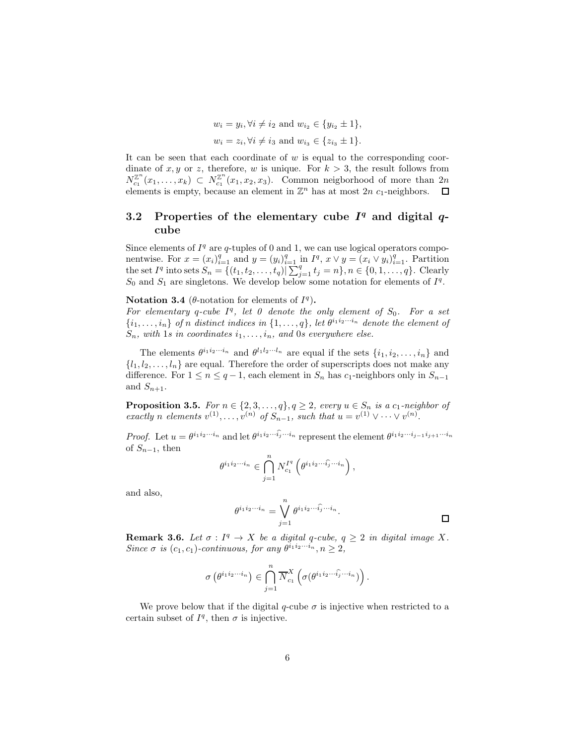$$
w_i = y_i, \forall i \neq i_2 \text{ and } w_{i_2} \in \{y_{i_2} \pm 1\},\
$$
  
 $w_i = z_i, \forall i \neq i_3 \text{ and } w_{i_3} \in \{z_{i_3} \pm 1\}.$ 

It can be seen that each coordinate of  $w$  is equal to the corresponding coordinate of x, y or z, therefore, w is unique. For  $k > 3$ , the result follows from  $N_{c_1}^{\mathbb{Z}^n}(x_1,\ldots,x_k) \subset N_{c_1}^{\mathbb{Z}^n}(x_1,x_2,x_3)$ . Common neigborhood of more than  $2n$ elements is empty, because an element in  $\mathbb{Z}^n$  has at most  $2n$  c<sub>1</sub>-neighbors.

## 3.2 Properties of the elementary cube  $I<sup>q</sup>$  and digital  $q$ cube

Since elements of  $I<sup>q</sup>$  are q-tuples of 0 and 1, we can use logical operators componentwise. For  $x = (x_i)_{i=1}^q$  and  $y = (y_i)_{i=1}^q$  in  $I^q$ ,  $x \vee y = (x_i \vee y_i)_{i=1}^q$ . Partition the set  $I^q$  into sets  $S_n = \{(t_1, t_2, \ldots, t_q) | \sum_{j=1}^q t_j = n\}, n \in \{0, 1, \ldots, q\}$ . Clearly  $S_0$  and  $S_1$  are singletons. We develop below some notation for elements of  $I<sup>q</sup>$ .

Notation 3.4 ( $\theta$ -notation for elements of  $I^q$ ).

For elementary q-cube  $I^q$ , let 0 denote the only element of  $S_0$ . For a set  $\{i_1,\ldots,i_n\}$  of n distinct indices in  $\{1,\ldots,q\}$ , let  $\theta^{i_1i_2\cdots i_n}$  denote the element of  $S_n$ , with 1s in coordinates  $i_1, \ldots, i_n$ , and 0s everywhere else.

The elements  $\theta^{i_1 i_2 \cdots i_n}$  and  $\theta^{l_1 l_2 \cdots l_n}$  are equal if the sets  $\{i_1, i_2, \ldots, i_n\}$  and  $\{l_1, l_2, \ldots, l_n\}$  are equal. Therefore the order of superscripts does not make any difference. For  $1 \le n \le q-1$ , each element in  $S_n$  has  $c_1$ -neighbors only in  $S_{n-1}$ and  $S_{n+1}$ .

**Proposition 3.5.** For  $n \in \{2, 3, ..., q\}, q \ge 2$ , every  $u \in S_n$  is a  $c_1$ -neighbor of exactly n elements  $v^{(1)}, \ldots, v^{(n)}$  of  $S_{n-1}$ , such that  $u = v^{(1)} \vee \cdots \vee v^{(n)}$ .

*Proof.* Let  $u = \theta^{i_1 i_2 \cdots i_n}$  and let  $\theta^{i_1 i_2 \cdots \widehat{i_j} \cdots i_n}$  represent the element  $\theta^{i_1 i_2 \cdots i_{j-1} i_{j+1} \cdots i_n}$ of  $S_{n-1}$ , then

$$
\theta^{i_1 i_2 \cdots i_n} \in \bigcap_{j=1}^n N_{c_1}^{I^q} \left( \theta^{i_1 i_2 \cdots \widehat{i_j} \cdots i_n} \right),
$$

and also,

$$
\theta^{i_1 i_2 \cdots i_n} = \bigvee_{j=1}^n \theta^{i_1 i_2 \cdots \widehat{i_j} \cdots i_n}.
$$

**Remark 3.6.** Let  $\sigma: I^q \to X$  be a digital q-cube,  $q \geq 2$  in digital image X. Since  $\sigma$  is  $(c_1, c_1)$ -continuous, for any  $\theta^{i_1 i_2 \cdots i_n}, n \geq 2$ ,

$$
\sigma\left(\theta^{i_1i_2\cdots i_n}\right) \in \bigcap_{j=1}^n \overline{N}_{c_1}^X\left(\sigma(\theta^{i_1i_2\cdots \widehat{i_j}\cdots i_n})\right).
$$

We prove below that if the digital q-cube  $\sigma$  is injective when restricted to a certain subset of  $I^q$ , then  $\sigma$  is injective.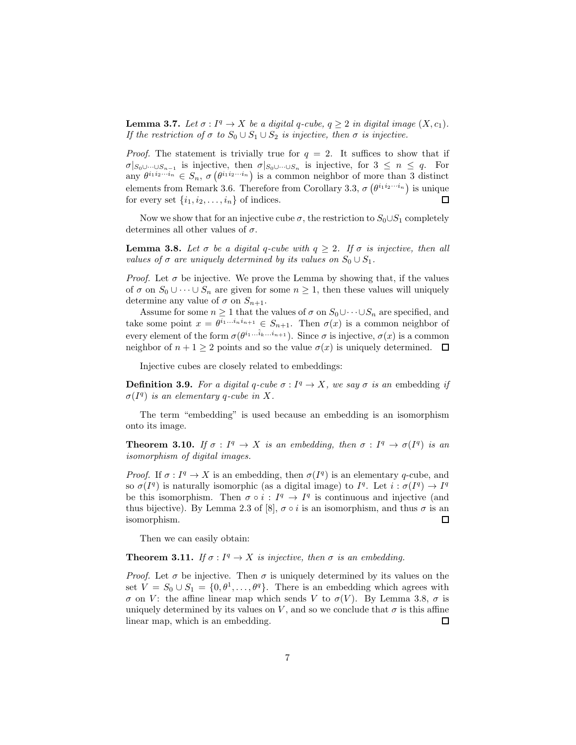**Lemma 3.7.** Let  $\sigma: I^q \to X$  be a digital q-cube,  $q \geq 2$  in digital image  $(X, c_1)$ . If the restriction of  $\sigma$  to  $S_0 \cup S_1 \cup S_2$  is injective, then  $\sigma$  is injective.

*Proof.* The statement is trivially true for  $q = 2$ . It suffices to show that if  $\sigma|_{S_0\cup\cdots\cup S_{n-1}}$  is injective, then  $\sigma|_{S_0\cup\cdots\cup S_n}$  is injective, for  $3\leq n\leq q$ . For any  $\theta^{i_1 i_2 \cdots i_n} \in S_n$ ,  $\sigma\left(\theta^{i_1 i_2 \cdots i_n}\right)$  is a common neighbor of more than 3 distinct elements from Remark 3.6. Therefore from Corollary 3.3,  $\sigma\left(\theta^{i_1 i_2 \cdots i_n}\right)$  is unique for every set  $\{i_1, i_2, \ldots, i_n\}$  of indices.  $\Box$ 

Now we show that for an injective cube  $\sigma$ , the restriction to  $S_0 \cup S_1$  completely determines all other values of  $\sigma$ .

**Lemma 3.8.** Let  $\sigma$  be a digital q-cube with  $q \geq 2$ . If  $\sigma$  is injective, then all values of  $\sigma$  are uniquely determined by its values on  $S_0 \cup S_1$ .

*Proof.* Let  $\sigma$  be injective. We prove the Lemma by showing that, if the values of  $\sigma$  on  $S_0 \cup \cdots \cup S_n$  are given for some  $n \geq 1$ , then these values will uniquely determine any value of  $\sigma$  on  $S_{n+1}$ .

Assume for some  $n \geq 1$  that the values of  $\sigma$  on  $S_0 \cup \cdots \cup S_n$  are specified, and take some point  $x = \theta^{i_1...i_n}$ <sub>in+1</sub>  $\in S_{n+1}$ . Then  $\sigma(x)$  is a common neighbor of every element of the form  $\sigma(\theta^{i_1...i_k...i_{n+1}})$ . Since  $\sigma$  is injective,  $\sigma(x)$  is a common neighbor of  $n + 1 \geq 2$  points and so the value  $\sigma(x)$  is uniquely determined.  $\Box$ 

Injective cubes are closely related to embeddings:

**Definition 3.9.** For a digital q-cube  $\sigma: I^q \to X$ , we say  $\sigma$  is an embedding if  $\sigma(I^q)$  is an elementary q-cube in X.

The term "embedding" is used because an embedding is an isomorphism onto its image.

**Theorem 3.10.** If  $\sigma: I^q \to X$  is an embedding, then  $\sigma: I^q \to \sigma(I^q)$  is an isomorphism of digital images.

*Proof.* If  $\sigma: I^q \to X$  is an embedding, then  $\sigma(I^q)$  is an elementary q-cube, and so  $\sigma(I^q)$  is naturally isomorphic (as a digital image) to  $I^q$ . Let  $i : \sigma(I^q) \to I^q$ be this isomorphism. Then  $\sigma \circ i : I^q \to I^q$  is continuous and injective (and thus bijective). By Lemma 2.3 of [8],  $\sigma \circ i$  is an isomorphism, and thus  $\sigma$  is an isomorphism.  $\Box$ 

Then we can easily obtain:

### **Theorem 3.11.** If  $\sigma: I^q \to X$  is injective, then  $\sigma$  is an embedding.

*Proof.* Let  $\sigma$  be injective. Then  $\sigma$  is uniquely determined by its values on the set  $V = S_0 \cup S_1 = \{0, \theta^1, \dots, \theta^q\}$ . There is an embedding which agrees with σ on V: the affine linear map which sends V to  $\sigma(V)$ . By Lemma 3.8, σ is uniquely determined by its values on V, and so we conclude that  $\sigma$  is this affine linear map, which is an embedding.  $\Box$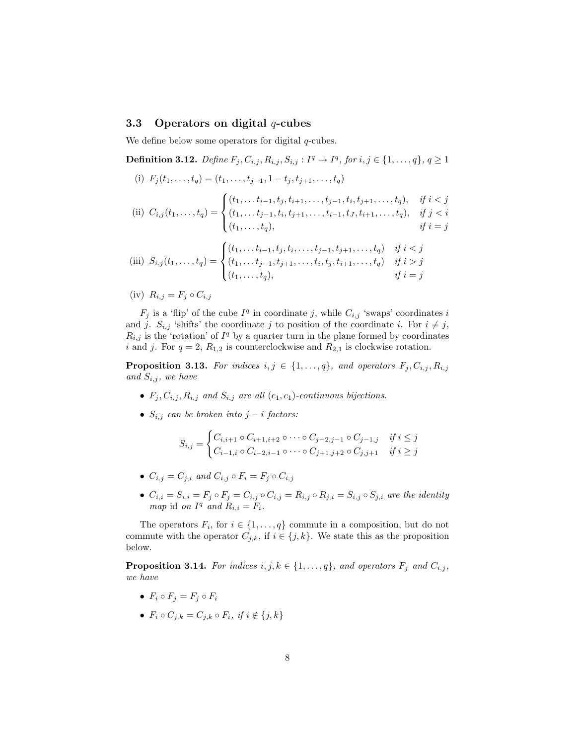### 3.3 Operators on digital  $q$ -cubes

We define below some operators for digital  $q$ -cubes.

**Definition 3.12.** Define  $F_j, C_{i,j}, R_{i,j}, S_{i,j} : I^q \to I^q$ , for  $i, j \in \{1, ..., q\}, q \ge 1$ (i)  $F_i(t_1, \ldots, t_q) = (t_1, \ldots, t_{j-1}, 1 - t_j, t_{j+1}, \ldots, t_q)$ 

(ii) 
$$
C_{i,j}(t_1,...,t_q) = \begin{cases} (t_1,...t_{i-1},t_j,t_{i+1},...,t_{j-1},t_i,t_{j+1},...,t_q), & \text{if } i < j \\ (t_1,...t_{j-1},t_i,t_{j+1},...,t_{i-1},t_J,t_{i+1},...,t_q), & \text{if } j < i \\ (t_1,...,t_q), & \text{if } i = j \end{cases}
$$

(iii) 
$$
S_{i,j}(t_1,...,t_q) = \begin{cases} (t_1,... t_{i-1}, t_j, t_i,...,t_{j-1}, t_{j+1},...,t_q) & \text{if } i < j \\ (t_1,... t_{j-1}, t_{j+1},...,t_i, t_j, t_{i+1},...,t_q) & \text{if } i > j \\ (t_1,...,t_q), & \text{if } i = j \end{cases}
$$

(iv)  $R_{i,j} = F_j \circ C_{i,j}$ 

 $F_j$  is a 'flip' of the cube  $I^q$  in coordinate j, while  $C_{i,j}$  'swaps' coordinates i and j.  $S_{i,j}$  'shifts' the coordinate j to position of the coordinate i. For  $i \neq j$ ,  $R_{i,j}$  is the 'rotation' of  $I<sup>q</sup>$  by a quarter turn in the plane formed by coordinates i and j. For  $q = 2$ ,  $R_{1,2}$  is counterclockwise and  $R_{2,1}$  is clockwise rotation.

**Proposition 3.13.** For indices  $i, j \in \{1, ..., q\}$ , and operators  $F_j, C_{i,j}, R_{i,j}$ and  $S_{i,j}$ , we have

- $F_j, C_{i,j}, R_{i,j}$  and  $S_{i,j}$  are all  $(c_1, c_1)$ -continuous bijections.
- $S_{i,j}$  can be broken into j i factors:

$$
S_{i,j} = \begin{cases} C_{i,i+1} \circ C_{i+1,i+2} \circ \cdots \circ C_{j-2,j-1} \circ C_{j-1,j} & \text{if } i \le j \\ C_{i-1,i} \circ C_{i-2,i-1} \circ \cdots \circ C_{j+1,j+2} \circ C_{j,j+1} & \text{if } i \ge j \end{cases}
$$

- $C_{i,j} = C_{j,i}$  and  $C_{i,j} \circ F_i = F_j \circ C_{i,j}$
- $C_{i,i} = S_{i,i} = F_j \circ F_j = C_{i,j} \circ C_{i,j} = R_{i,j} \circ R_{j,i} = S_{i,j} \circ S_{j,i}$  are the identity map id on  $I^q$  and  $R_{i,i} = F_i$ .

The operators  $F_i$ , for  $i \in \{1, ..., q\}$  commute in a composition, but do not commute with the operator  $C_{j,k}$ , if  $i \in \{j,k\}$ . We state this as the proposition below.

**Proposition 3.14.** For indices  $i, j, k \in \{1, \ldots, q\}$ , and operators  $F_j$  and  $C_{i,j}$ , we have

- $F_i \circ F_j = F_j \circ F_i$
- $F_i \circ C_{j,k} = C_{j,k} \circ F_i$ , if  $i \notin \{j,k\}$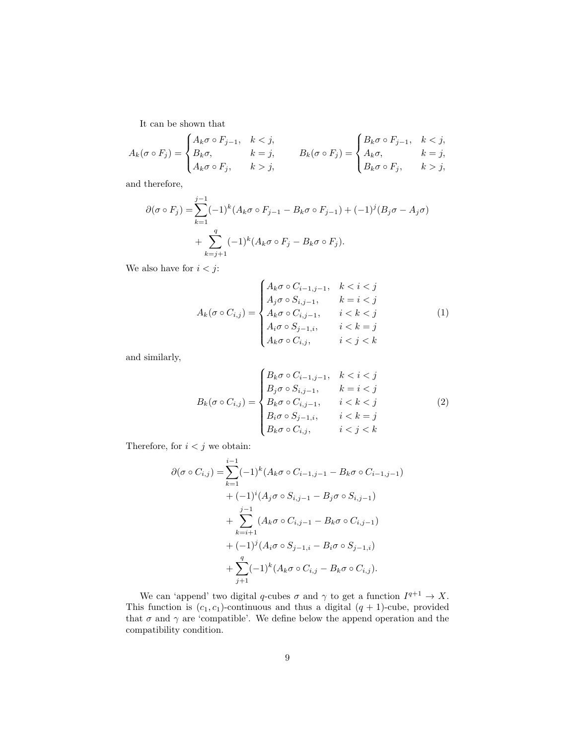It can be shown that

$$
A_k(\sigma \circ F_j) = \begin{cases} A_k \sigma \circ F_{j-1}, & k < j, \\ B_k \sigma, & k = j, \\ A_k \sigma \circ F_j, & k > j, \end{cases} \qquad B_k(\sigma \circ F_j) = \begin{cases} B_k \sigma \circ F_{j-1}, & k < j, \\ A_k \sigma, & k = j, \\ B_k \sigma \circ F_j, & k > j, \end{cases}
$$

and therefore,

$$
\partial(\sigma \circ F_j) = \sum_{k=1}^{j-1} (-1)^k (A_k \sigma \circ F_{j-1} - B_k \sigma \circ F_{j-1}) + (-1)^j (B_j \sigma - A_j \sigma) + \sum_{k=j+1}^q (-1)^k (A_k \sigma \circ F_j - B_k \sigma \circ F_j).
$$

We also have for  $i < j$ :

$$
A_k(\sigma \circ C_{i,j}) = \begin{cases} A_k \sigma \circ C_{i-1,j-1}, & k < i < j \\ A_j \sigma \circ S_{i,j-1}, & k = i < j \\ A_k \sigma \circ C_{i,j-1}, & i < k < j \\ A_i \sigma \circ S_{j-1,i}, & i < k = j \\ A_k \sigma \circ C_{i,j}, & i < j < k \end{cases} \tag{1}
$$

and similarly,

$$
B_k(\sigma \circ C_{i,j}) = \begin{cases} B_k \sigma \circ C_{i-1,j-1}, & k < i < j \\ B_j \sigma \circ S_{i,j-1}, & k = i < j \\ B_k \sigma \circ C_{i,j-1}, & i < k < j \\ B_i \sigma \circ S_{j-1,i}, & i < k = j \\ B_k \sigma \circ C_{i,j}, & i < j < k \end{cases} \tag{2}
$$

Therefore, for  $i < j$  we obtain:

$$
\partial(\sigma \circ C_{i,j}) = \sum_{k=1}^{i-1} (-1)^k (A_k \sigma \circ C_{i-1,j-1} - B_k \sigma \circ C_{i-1,j-1})
$$
  
+  $(-1)^i (A_j \sigma \circ S_{i,j-1} - B_j \sigma \circ S_{i,j-1})$   
+  $\sum_{k=i+1}^{j-1} (A_k \sigma \circ C_{i,j-1} - B_k \sigma \circ C_{i,j-1})$   
+  $(-1)^j (A_i \sigma \circ S_{j-1,i} - B_i \sigma \circ S_{j-1,i})$   
+  $\sum_{j+1}^q (-1)^k (A_k \sigma \circ C_{i,j} - B_k \sigma \circ C_{i,j}).$ 

We can 'append' two digital q-cubes  $\sigma$  and  $\gamma$  to get a function  $I^{q+1} \to X$ . This function is  $(c_1, c_1)$ -continuous and thus a digital  $(q + 1)$ -cube, provided that  $\sigma$  and  $\gamma$  are 'compatible'. We define below the append operation and the compatibility condition.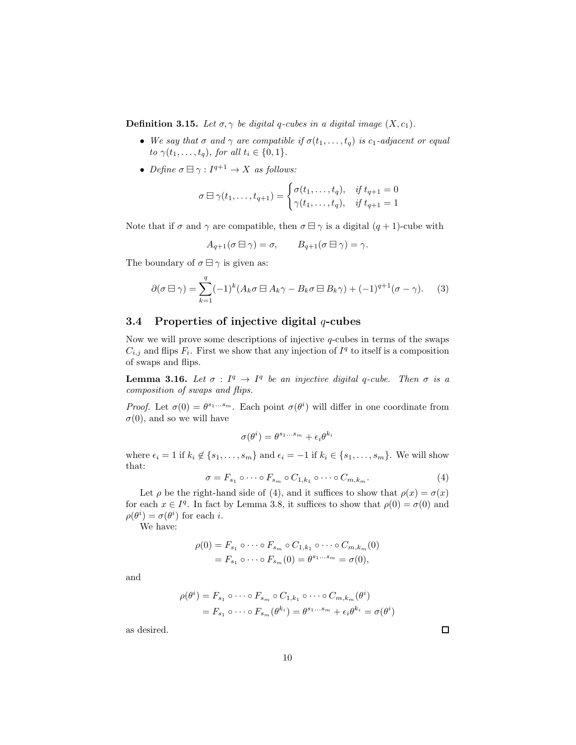**Definition 3.15.** Let  $\sigma, \gamma$  be digital q-cubes in a digital image  $(X, c_1)$ .

- We say that  $\sigma$  and  $\gamma$  are compatible if  $\sigma(t_1,\ldots,t_q)$  is  $c_1$ -adjacent or equal to  $\gamma(t_1,\ldots,t_q)$ , for all  $t_i \in \{0,1\}$ .
- Define  $\sigma \boxminus \gamma : I^{q+1} \to X$  as follows:

$$
\sigma \boxminus \gamma(t_1,\ldots,t_{q+1}) = \begin{cases} \sigma(t_1,\ldots,t_q), & \text{if } t_{q+1} = 0 \\ \gamma(t_1,\ldots,t_q), & \text{if } t_{q+1} = 1 \end{cases}
$$

Note that if  $\sigma$  and  $\gamma$  are compatible, then  $\sigma \boxminus \gamma$  is a digital  $(q + 1)$ -cube with

$$
A_{q+1}(\sigma \boxminus \gamma) = \sigma, \qquad B_{q+1}(\sigma \boxminus \gamma) = \gamma.
$$

The boundary of  $\sigma \boxminus \gamma$  is given as:

$$
\partial(\sigma \boxminus \gamma) = \sum_{k=1}^{q} (-1)^k (A_k \sigma \boxminus A_k \gamma - B_k \sigma \boxminus B_k \gamma) + (-1)^{q+1} (\sigma - \gamma).
$$
 (3)

## 3.4 Properties of injective digital  $q$ -cubes

Now we will prove some descriptions of injective  $q$ -cubes in terms of the swaps  $C_{i,j}$  and flips  $F_i$ . First we show that any injection of  $I<sup>q</sup>$  to itself is a composition of swaps and flips.

**Lemma 3.16.** Let  $\sigma : I^q \to I^q$  be an injective digital q-cube. Then  $\sigma$  is a composition of swaps and flips.

Proof. Let  $\sigma(0) = \theta^{s_1...s_m}$ . Each point  $\sigma(\theta^i)$  will differ in one coordinate from  $\sigma(0)$ , and so we will have

$$
\sigma(\theta^i) = \theta^{s_1...s_m} + \epsilon_i \theta^{k_i}
$$

where  $\epsilon_i = 1$  if  $k_i \notin \{s_1, \ldots, s_m\}$  and  $\epsilon_i = -1$  if  $k_i \in \{s_1, \ldots, s_m\}$ . We will show that:

$$
\sigma = F_{s_1} \circ \cdots \circ F_{s_m} \circ C_{1,k_1} \circ \cdots \circ C_{m,k_m}.
$$
\n
$$
\tag{4}
$$

Let  $\rho$  be the right-hand side of (4), and it suffices to show that  $\rho(x) = \sigma(x)$ for each  $x \in I^q$ . In fact by Lemma 3.8, it suffices to show that  $\rho(0) = \sigma(0)$  and  $\rho(\theta^i) = \sigma(\theta^i)$  for each *i*.

We have:

$$
\rho(0) = F_{s_1} \circ \cdots \circ F_{s_m} \circ C_{1,k_1} \circ \cdots \circ C_{m,k_m}(0)
$$
  
=  $F_{s_1} \circ \cdots \circ F_{s_m}(0) = \theta^{s_1 \cdots s_m} = \sigma(0),$ 

and

$$
\rho(\theta^i) = F_{s_1} \circ \cdots \circ F_{s_m} \circ C_{1,k_1} \circ \cdots \circ C_{m,k_m}(\theta^i)
$$
  
=  $F_{s_1} \circ \cdots \circ F_{s_m}(\theta^{k_i}) = \theta^{s_1 \cdots s_m} + \epsilon_i \theta^{k_i} = \sigma(\theta^i)$ 

as desired.

 $\Box$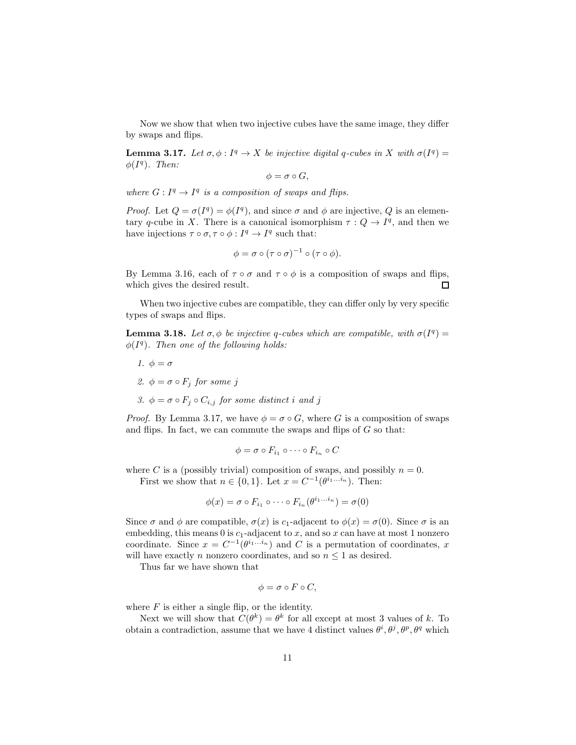Now we show that when two injective cubes have the same image, they differ by swaps and flips.

**Lemma 3.17.** Let  $\sigma, \phi : I^q \to X$  be injective digital q-cubes in X with  $\sigma(I^q) =$  $\phi(I^q)$ . Then:

$$
\phi = \sigma \circ G,
$$

where  $G: I^q \to I^q$  is a composition of swaps and flips.

*Proof.* Let  $Q = \sigma(I^q) = \phi(I^q)$ , and since  $\sigma$  and  $\phi$  are injective, Q is an elementary q-cube in X. There is a canonical isomorphism  $\tau: Q \to I^q$ , and then we have injections  $\tau \circ \sigma, \tau \circ \phi : I^q \to I^q$  such that:

$$
\phi = \sigma \circ (\tau \circ \sigma)^{-1} \circ (\tau \circ \phi).
$$

By Lemma 3.16, each of  $\tau \circ \sigma$  and  $\tau \circ \phi$  is a composition of swaps and flips, which gives the desired result. □

When two injective cubes are compatible, they can differ only by very specific types of swaps and flips.

**Lemma 3.18.** Let  $\sigma$ ,  $\phi$  be injective q-cubes which are compatible, with  $\sigma(I^q)$  =  $\phi(I^q)$ . Then one of the following holds:

- 1.  $\phi = \sigma$ 2.  $\phi = \sigma \circ F_j$  for some j
- 3.  $\phi = \sigma \circ F_i \circ C_{i,j}$  for some distinct i and j

*Proof.* By Lemma 3.17, we have  $\phi = \sigma \circ G$ , where G is a composition of swaps and flips. In fact, we can commute the swaps and flips of  $G$  so that:

$$
\phi = \sigma \circ F_{i_1} \circ \cdots \circ F_{i_n} \circ C
$$

where C is a (possibly trivial) composition of swaps, and possibly  $n = 0$ . First we show that  $n \in \{0, 1\}$ . Let  $x = C^{-1}(\theta^{i_1...i_n})$ . Then:

$$
\phi(x) = \sigma \circ F_{i_1} \circ \cdots \circ F_{i_n}(\theta^{i_1...i_n}) = \sigma(0)
$$

Since  $\sigma$  and  $\phi$  are compatible,  $\sigma(x)$  is c<sub>1</sub>-adjacent to  $\phi(x) = \sigma(0)$ . Since  $\sigma$  is an embedding, this means  $0$  is  $c_1$ -adjacent to x, and so x can have at most 1 nonzero coordinate. Since  $x = C^{-1}(\theta^{i_1...i_n})$  and C is a permutation of coordinates, x will have exactly n nonzero coordinates, and so  $n \leq 1$  as desired.

Thus far we have shown that

$$
\phi = \sigma \circ F \circ C,
$$

where  $F$  is either a single flip, or the identity.

Next we will show that  $C(\theta^k) = \theta^k$  for all except at most 3 values of k. To obtain a contradiction, assume that we have 4 distinct values  $\theta^i, \theta^j, \theta^p, \theta^q$  which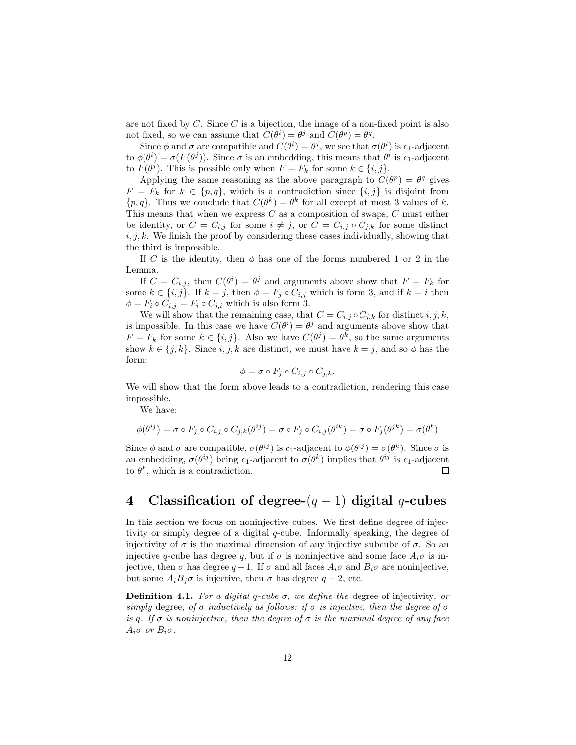are not fixed by  $C$ . Since  $C$  is a bijection, the image of a non-fixed point is also not fixed, so we can assume that  $C(\theta^i) = \theta^j$  and  $C(\theta^p) = \theta^q$ .

Since  $\phi$  and  $\sigma$  are compatible and  $C(\theta^i) = \theta^j$ , we see that  $\sigma(\theta^i)$  is  $c_1$ -adjacent to  $\phi(\theta^i) = \sigma(F(\theta^j))$ . Since  $\sigma$  is an embedding, this means that  $\theta^i$  is  $c_1$ -adjacent to  $F(\theta^j)$ . This is possible only when  $F = F_k$  for some  $k \in \{i, j\}$ .

Applying the same reasoning as the above paragraph to  $C(\theta^p) = \theta^q$  gives  $F = F_k$  for  $k \in \{p, q\}$ , which is a contradiction since  $\{i, j\}$  is disjoint from  $\{p,q\}$ . Thus we conclude that  $C(\theta^k) = \theta^k$  for all except at most 3 values of k. This means that when we express  $C$  as a composition of swaps,  $C$  must either be identity, or  $C = C_{i,j}$  for some  $i \neq j$ , or  $C = C_{i,j} \circ C_{j,k}$  for some distinct  $i, j, k$ . We finish the proof by considering these cases individually, showing that the third is impossible.

If C is the identity, then  $\phi$  has one of the forms numbered 1 or 2 in the Lemma.

If  $C = C_{i,j}$ , then  $C(\theta^i) = \theta^j$  and arguments above show that  $F = F_k$  for some  $k \in \{i, j\}$ . If  $k = j$ , then  $\phi = F_j \circ C_{i,j}$  which is form 3, and if  $k = i$  then  $\phi = F_i \circ C_{i,j} = F_i \circ C_{j,i}$  which is also form 3.

We will show that the remaining case, that  $C = C_{i,j} \circ C_{j,k}$  for distinct  $i, j, k$ , is impossible. In this case we have  $C(\theta^i) = \theta^j$  and arguments above show that  $F = F_k$  for some  $k \in \{i, j\}$ . Also we have  $C(\theta^j) = \theta^k$ , so the same arguments show  $k \in \{j, k\}$ . Since  $i, j, k$  are distinct, we must have  $k = j$ , and so  $\phi$  has the form:

$$
\phi = \sigma \circ F_j \circ C_{i,j} \circ C_{j,k}.
$$

We will show that the form above leads to a contradiction, rendering this case impossible.

We have:

$$
\phi(\theta^{ij})=\sigma\circ F_j\circ C_{i,j}\circ C_{j,k}(\theta^{ij})=\sigma\circ F_j\circ C_{i,j}(\theta^{ik})=\sigma\circ F_j(\theta^{jk})=\sigma(\theta^{k})
$$

Since  $\phi$  and  $\sigma$  are compatible,  $\sigma(\theta^{ij})$  is  $c_1$ -adjacent to  $\phi(\theta^{ij}) = \sigma(\theta^k)$ . Since  $\sigma$  is an embedding,  $\sigma(\theta^{ij})$  being c<sub>1</sub>-adjacent to  $\sigma(\theta^k)$  implies that  $\theta^{ij}$  is c<sub>1</sub>-adjacent to  $\theta^k$ , which is a contradiction.  $\Box$ 

## 4 Classification of degree- $(q-1)$  digital q-cubes

In this section we focus on noninjective cubes. We first define degree of injectivity or simply degree of a digital q-cube. Informally speaking, the degree of injectivity of  $\sigma$  is the maximal dimension of any injective subcube of  $\sigma$ . So an injective q-cube has degree q, but if  $\sigma$  is noninjective and some face  $A_i\sigma$  is injective, then  $\sigma$  has degree  $q-1$ . If  $\sigma$  and all faces  $A_i\sigma$  and  $B_i\sigma$  are noninjective, but some  $A_i B_j \sigma$  is injective, then  $\sigma$  has degree  $q - 2$ , etc.

**Definition 4.1.** For a digital q-cube  $\sigma$ , we define the degree of injectivity, or simply degree, of  $\sigma$  inductively as follows: if  $\sigma$  is injective, then the degree of  $\sigma$ is q. If  $\sigma$  is noninjective, then the degree of  $\sigma$  is the maximal degree of any face  $A_i\sigma$  or  $B_i\sigma$ .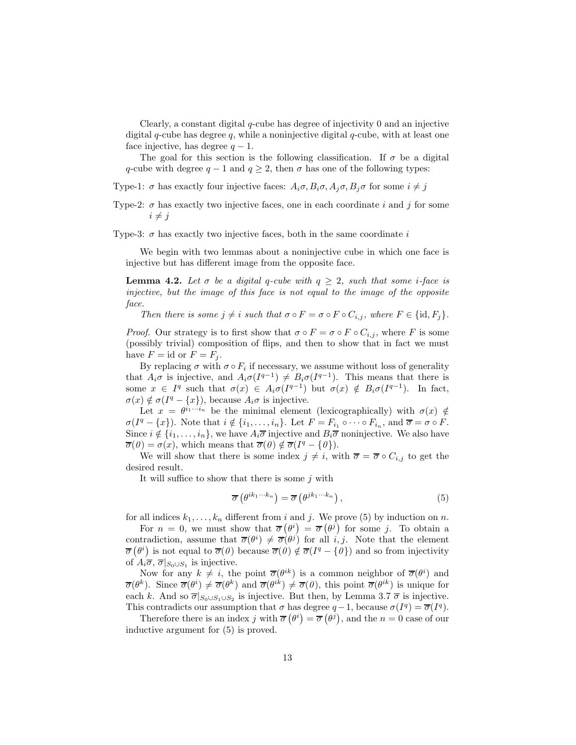Clearly, a constant digital q-cube has degree of injectivity 0 and an injective digital  $q$ -cube has degree  $q$ , while a noninjective digital  $q$ -cube, with at least one face injective, has degree  $q - 1$ .

The goal for this section is the following classification. If  $\sigma$  be a digital q-cube with degree  $q - 1$  and  $q \geq 2$ , then  $\sigma$  has one of the following types:

Type-1:  $\sigma$  has exactly four injective faces:  $A_i \sigma, B_i \sigma, A_j \sigma, B_j \sigma$  for some  $i \neq j$ 

Type-2:  $\sigma$  has exactly two injective faces, one in each coordinate i and j for some  $i \neq j$ 

Type-3:  $\sigma$  has exactly two injective faces, both in the same coordinate i

We begin with two lemmas about a noninjective cube in which one face is injective but has different image from the opposite face.

**Lemma 4.2.** Let  $\sigma$  be a digital q-cube with  $q \geq 2$ , such that some *i*-face is injective, but the image of this face is not equal to the image of the opposite face.

Then there is some  $j \neq i$  such that  $\sigma \circ F = \sigma \circ F \circ C_{i,j}$ , where  $F \in \{\text{id}, F_j\}.$ 

*Proof.* Our strategy is to first show that  $\sigma \circ F = \sigma \circ F \circ C_{i,j}$ , where F is some (possibly trivial) composition of flips, and then to show that in fact we must have  $F = id$  or  $F = F_j$ .

By replacing  $\sigma$  with  $\sigma \circ F_i$  if necessary, we assume without loss of generality that  $A_i\sigma$  is injective, and  $A_i\sigma(I^{q-1}) \neq B_i\sigma(I^{q-1})$ . This means that there is some  $x \in I^q$  such that  $\sigma(x) \in A_i \sigma(I^{q-1})$  but  $\sigma(x) \notin B_i \sigma(I^{q-1})$ . In fact,  $\sigma(x) \notin \sigma(I^q - \{x\})$ , because  $A_i \sigma$  is injective.

Let  $x = \theta^{i_1 \cdots i_n}$  be the minimal element (lexicographically) with  $\sigma(x) \notin$  $\sigma(I^q - \{x\})$ . Note that  $i \notin \{i_1, \ldots, i_n\}$ . Let  $F = F_{i_1} \circ \cdots \circ F_{i_n}$ , and  $\overline{\sigma} = \sigma \circ F$ . Since  $i \notin \{i_1, \ldots, i_n\}$ , we have  $A_i \overline{\sigma}$  injective and  $B_i \overline{\sigma}$  noninjective. We also have  $\overline{\sigma}(0) = \sigma(x)$ , which means that  $\overline{\sigma}(0) \notin \overline{\sigma}(I^q - \{0\}).$ 

We will show that there is some index  $j \neq i$ , with  $\overline{\sigma} = \overline{\sigma} \circ C_{i,j}$  to get the desired result.

It will suffice to show that there is some  $j$  with

$$
\overline{\sigma}\left(\theta^{ik_1\cdots k_n}\right) = \overline{\sigma}\left(\theta^{jk_1\cdots k_n}\right),\tag{5}
$$

for all indices  $k_1, \ldots, k_n$  different from i and j. We prove (5) by induction on n.

For  $n = 0$ , we must show that  $\overline{\sigma}(\theta^i) = \overline{\sigma}(\theta^j)$  for some j. To obtain a contradiction, assume that  $\overline{\sigma}(\theta^i) \neq \overline{\sigma}(\theta^j)$  for all i, j. Note that the element  $\overline{\sigma}(\theta^i)$  is not equal to  $\overline{\sigma}(\theta)$  because  $\overline{\sigma}(\theta) \notin \overline{\sigma}(I^q - \{\theta\})$  and so from injectivity of  $A_i\overline{\sigma}, \overline{\sigma}|_{S_0\cup S_1}$  is injective.

Now for any  $k \neq i$ , the point  $\overline{\sigma}(\theta^{ik})$  is a common neighbor of  $\overline{\sigma}(\theta^i)$  and  $\overline{\sigma}(\theta^k)$ . Since  $\overline{\sigma}(\theta^i) \neq \overline{\sigma}(\theta^k)$  and  $\overline{\sigma}(\theta^{ik}) \neq \overline{\sigma}(\theta)$ , this point  $\overline{\sigma}(\theta^{ik})$  is unique for each k. And so  $\overline{\sigma}|_{S_0 \cup S_1 \cup S_2}$  is injective. But then, by Lemma 3.7  $\overline{\sigma}$  is injective. This contradicts our assumption that  $\sigma$  has degree  $q-1$ , because  $\sigma(I^q) = \overline{\sigma}(I^q)$ .

Therefore there is an index j with  $\overline{\sigma}(\theta^i) = \overline{\sigma}(\theta^j)$ , and the  $n = 0$  case of our inductive argument for (5) is proved.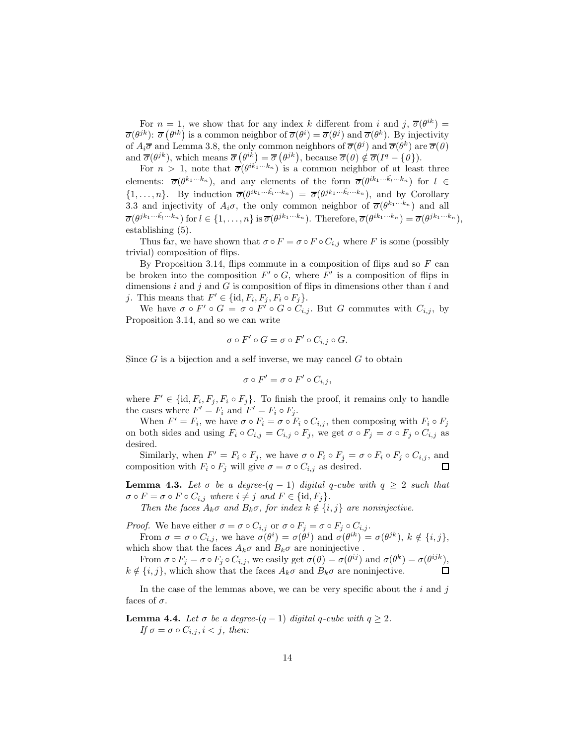For  $n = 1$ , we show that for any index k different from i and  $j, \overline{\sigma}(\theta^{ik}) =$  $\overline{\sigma}(\theta^{jk})$ :  $\overline{\sigma}(\theta^{ik})$  is a common neighbor of  $\overline{\sigma}(\theta^{i}) = \overline{\sigma}(\theta^{j})$  and  $\overline{\sigma}(\theta^{k})$ . By injectivity of  $A_i\overline{\sigma}$  and Lemma 3.8, the only common neighbors of  $\overline{\sigma}(\theta^j)$  and  $\overline{\sigma}(\theta^k)$  are  $\overline{\sigma}(0)$ and  $\overline{\sigma}(\theta^{jk})$ , which means  $\overline{\sigma}(\theta^{ik}) = \overline{\sigma}(\theta^{jk})$ , because  $\overline{\sigma}(\theta) \notin \overline{\sigma}(I^q - \{\theta\})$ .

For  $n > 1$ , note that  $\overline{\sigma}(\theta^{ik'_1 \cdots k_n})$  is a common neighbor of at least three elements:  $\overline{\sigma}(\theta^{k_1\cdots k_n})$ , and any elements of the form  $\overline{\sigma}(\theta^{ik_1\cdots k_l\cdots k_n})$  for  $l \in$  $\{1,\ldots,n\}$ . By induction  $\overline{\sigma}(\theta^{ik_1\cdots k_l\cdots k_n}) = \overline{\sigma}(\theta^{jk_1\cdots k_l\cdots k_n})$ , and by Corollary 3.3 and injectivity of  $A_i\sigma$ , the only common neighbor of  $\overline{\sigma}(\theta^{k_1...k_n})$  and all  $\overline{\sigma}(\theta^{jk_1\cdots k_l\cdots k_n})$  for  $l \in \{1,\ldots,n\}$  is  $\overline{\sigma}(\theta^{jk_1\cdots k_n})$ . Therefore,  $\overline{\sigma}(\theta^{jk_1\cdots k_n}) = \overline{\sigma}(\theta^{jk_1\cdots k_n})$ , establishing (5).

Thus far, we have shown that  $\sigma \circ F = \sigma \circ F \circ C_{i,j}$  where F is some (possibly trivial) composition of flips.

By Proposition 3.14, flips commute in a composition of flips and so  $F$  can be broken into the composition  $F' \circ G$ , where  $F'$  is a composition of flips in dimensions  $i$  and  $j$  and  $G$  is composition of flips in dimensions other than  $i$  and j. This means that  $F' \in \{\text{id}, F_i, F_j, F_i \circ F_j\}.$ 

We have  $\sigma \circ F' \circ G = \sigma \circ F' \circ G \circ C_{i,j}$ . But G commutes with  $C_{i,j}$ , by Proposition 3.14, and so we can write

$$
\sigma \circ F' \circ G = \sigma \circ F' \circ C_{i,j} \circ G.
$$

Since  $G$  is a bijection and a self inverse, we may cancel  $G$  to obtain

$$
\sigma \circ F' = \sigma \circ F' \circ C_{i,j},
$$

where  $F' \in \{\text{id}, F_i, F_j, F_i \circ F_j\}$ . To finish the proof, it remains only to handle the cases where  $F' = F_i$  and  $F' = F_i \circ F_j$ .

When  $F' = F_i$ , we have  $\sigma \circ F_i = \sigma \circ F_i \circ C_{i,j}$ , then composing with  $F_i \circ F_j$ on both sides and using  $F_i \circ C_{i,j} = C_{i,j} \circ F_j$ , we get  $\sigma \circ F_j = \sigma \circ F_j \circ C_{i,j}$  as desired.

Similarly, when  $F' = F_i \circ F_j$ , we have  $\sigma \circ F_i \circ F_j = \sigma \circ F_i \circ F_j \circ C_{i,j}$ , and composition with  $F_i \circ F_j$  will give  $\sigma = \sigma \circ C_{i,j}$  as desired.

**Lemma 4.3.** Let  $\sigma$  be a degree- $(q - 1)$  digital q-cube with  $q \geq 2$  such that  $\sigma \circ F = \sigma \circ F \circ C_{i,j}$  where  $i \neq j$  and  $F \in \{\text{id}, F_j\}.$ 

Then the faces  $A_k\sigma$  and  $B_k\sigma$ , for index  $k \notin \{i, j\}$  are noninjective.

*Proof.* We have either  $\sigma = \sigma \circ C_{i,j}$  or  $\sigma \circ F_j = \sigma \circ F_j \circ C_{i,j}$ .

From  $\sigma = \sigma \circ C_{i,j}$ , we have  $\sigma(\theta^i) = \sigma(\theta^j)$  and  $\sigma(\theta^{ik}) = \sigma(\theta^{jk})$ ,  $k \notin \{i,j\}$ , which show that the faces  $A_k \sigma$  and  $B_k \sigma$  are noninjective.

From  $\sigma \circ F_j = \sigma \circ F_j \circ C_{i,j}$ , we easily get  $\sigma(\theta) = \sigma(\theta^{ij})$  and  $\sigma(\theta^k) = \sigma(\theta^{ijk})$ ,  $k \notin \{i, j\}$ , which show that the faces  $A_k \sigma$  and  $B_k \sigma$  are noninjective.  $\Box$ 

In the case of the lemmas above, we can be very specific about the  $i$  and  $j$ faces of  $\sigma$ .

**Lemma 4.4.** Let  $\sigma$  be a degree- $(q-1)$  digital q-cube with  $q \geq 2$ . If  $\sigma = \sigma \circ C_{i,j}, i < j$ , then: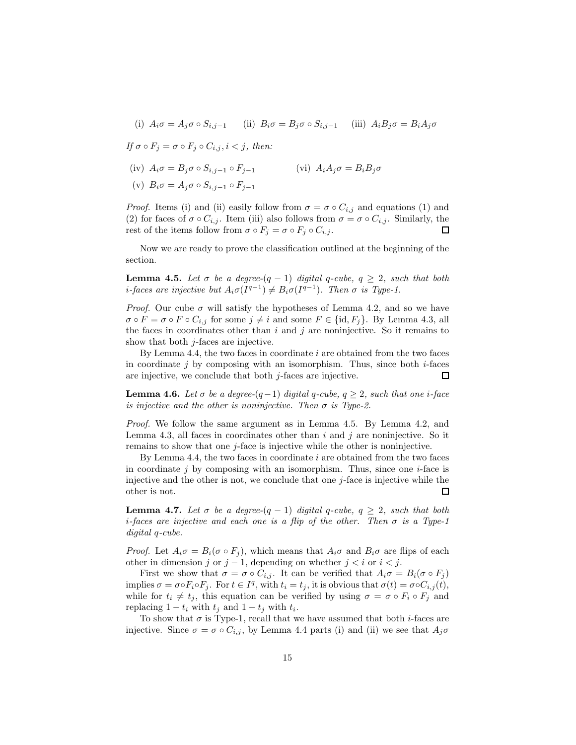(i) 
$$
A_i \sigma = A_j \sigma \circ S_{i,j-1}
$$
 (ii)  $B_i \sigma = B_j \sigma \circ S_{i,j-1}$  (iii)  $A_i B_j \sigma = B_i A_j \sigma$ 

If  $\sigma \circ F_i = \sigma \circ F_i \circ C_{i,i}, i < j$ , then:

(iv)  $A_i \sigma = B_j \sigma \circ S_{i,j-1} \circ F_{j-1}$ (vi)  $A_i A_j \sigma = B_i B_j \sigma$ 

$$
(v) B_i \sigma = A_j \sigma \circ S_{i,j-1} \circ F_{j-1}
$$

*Proof.* Items (i) and (ii) easily follow from  $\sigma = \sigma \circ C_{i,j}$  and equations (1) and (2) for faces of  $\sigma \circ C_{i,j}$ . Item (iii) also follows from  $\sigma = \sigma \circ C_{i,j}$ . Similarly, the rest of the items follow from  $\sigma \circ F_j = \sigma \circ F_j \circ C_{i,j}$ .  $\Box$ 

Now we are ready to prove the classification outlined at the beginning of the section.

**Lemma 4.5.** Let  $\sigma$  be a degree- $(q - 1)$  digital q-cube,  $q \geq 2$ , such that both *i*-faces are injective but  $A_i \sigma(I^{q-1}) \neq B_i \sigma(I^{q-1})$ . Then  $\sigma$  is Type-1.

*Proof.* Our cube  $\sigma$  will satisfy the hypotheses of Lemma 4.2, and so we have  $\sigma \circ F = \sigma \circ F \circ C_{i,j}$  for some  $j \neq i$  and some  $F \in \{\text{id}, F_j\}$ . By Lemma 4.3, all the faces in coordinates other than  $i$  and  $j$  are noninjective. So it remains to show that both  $j$ -faces are injective.

By Lemma 4.4, the two faces in coordinate  $i$  are obtained from the two faces in coordinate j by composing with an isomorphism. Thus, since both  $i$ -faces are injective, we conclude that both  $j$ -faces are injective.  $\Box$ 

**Lemma 4.6.** Let  $\sigma$  be a degree- $(q-1)$  digital q-cube,  $q > 2$ , such that one i-face is injective and the other is noninjective. Then  $\sigma$  is Type-2.

Proof. We follow the same argument as in Lemma 4.5. By Lemma 4.2, and Lemma 4.3, all faces in coordinates other than  $i$  and  $j$  are noninjective. So it remains to show that one j-face is injective while the other is noninjective.

By Lemma 4.4, the two faces in coordinate  $i$  are obtained from the two faces in coordinate  $j$  by composing with an isomorphism. Thus, since one  $i$ -face is injective and the other is not, we conclude that one  $j$ -face is injective while the other is not. П

**Lemma 4.7.** Let  $\sigma$  be a degree- $(q - 1)$  digital q-cube,  $q \geq 2$ , such that both i-faces are injective and each one is a flip of the other. Then  $\sigma$  is a Type-1 digital q-cube.

*Proof.* Let  $A_i \sigma = B_i(\sigma \circ F_i)$ , which means that  $A_i \sigma$  and  $B_i \sigma$  are flips of each other in dimension j or  $j-1$ , depending on whether  $j < i$  or  $i < j$ .

First we show that  $\sigma = \sigma \circ C_{i,j}$ . It can be verified that  $A_i \sigma = B_i (\sigma \circ F_j)$ implies  $\sigma = \sigma \circ F_i \circ F_j$ . For  $t \in I^q$ , with  $t_i = t_j$ , it is obvious that  $\sigma(t) = \sigma \circ C_{i,j}(t)$ , while for  $t_i \neq t_j$ , this equation can be verified by using  $\sigma = \sigma \circ F_i \circ F_j$  and replacing  $1 - t_i$  with  $t_j$  and  $1 - t_j$  with  $t_i$ .

To show that  $\sigma$  is Type-1, recall that we have assumed that both *i*-faces are injective. Since  $\sigma = \sigma \circ C_{i,j}$ , by Lemma 4.4 parts (i) and (ii) we see that  $A_j \sigma$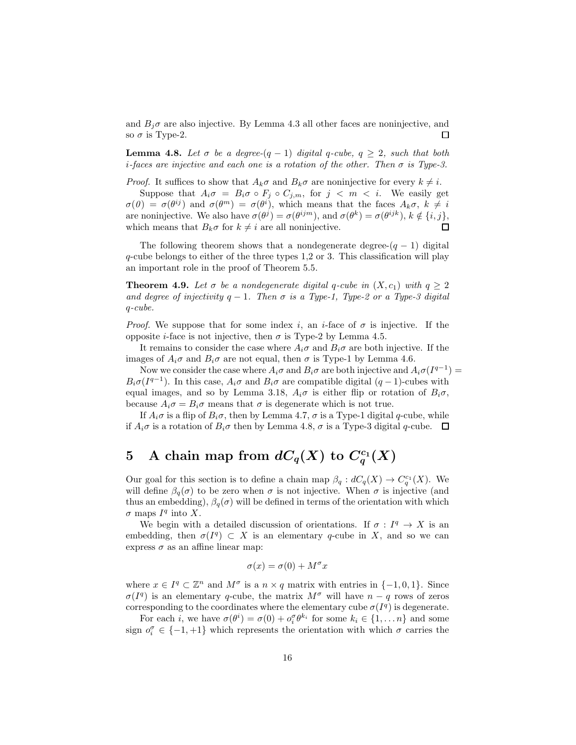and  $B_j\sigma$  are also injective. By Lemma 4.3 all other faces are noninjective, and so  $\sigma$  is Type-2. 口

**Lemma 4.8.** Let  $\sigma$  be a degree- $(q - 1)$  digital q-cube,  $q \geq 2$ , such that both i-faces are injective and each one is a rotation of the other. Then  $\sigma$  is Type-3.

*Proof.* It suffices to show that  $A_k \sigma$  and  $B_k \sigma$  are noninjective for every  $k \neq i$ .

Suppose that  $A_i \sigma = B_i \sigma \circ F_j \circ C_{j,m}$ , for  $j \langle m \rangle \langle i$ . We easily get  $\sigma(\theta) = \sigma(\theta^{ij})$  and  $\sigma(\theta^m) = \sigma(\theta^i)$ , which means that the faces  $A_k \sigma, k \neq i$ are noninjective. We also have  $\sigma(\theta^j) = \sigma(\theta^{ijm})$ , and  $\sigma(\theta^k) = \sigma(\theta^{ijk})$ ,  $k \notin \{i, j\}$ , which means that  $B_k\sigma$  for  $k \neq i$  are all noninjective.  $\Box$ 

The following theorem shows that a nondegenerate degree- $(q - 1)$  digital  $q$ -cube belongs to either of the three types 1,2 or 3. This classification will play an important role in the proof of Theorem 5.5.

**Theorem 4.9.** Let  $\sigma$  be a nondegenerate digital q-cube in  $(X, c_1)$  with  $q \geq 2$ and degree of injectivity  $q-1$ . Then  $\sigma$  is a Type-1, Type-2 or a Type-3 digital q-cube.

*Proof.* We suppose that for some index i, an i-face of  $\sigma$  is injective. If the opposite *i*-face is not injective, then  $\sigma$  is Type-2 by Lemma 4.5.

It remains to consider the case where  $A_i\sigma$  and  $B_i\sigma$  are both injective. If the images of  $A_i\sigma$  and  $B_i\sigma$  are not equal, then  $\sigma$  is Type-1 by Lemma 4.6.

Now we consider the case where  $A_i\sigma$  and  $B_i\sigma$  are both injective and  $A_i\sigma(I^{q-1})=$  $B_i\sigma(I^{q-1})$ . In this case,  $A_i\sigma$  and  $B_i\sigma$  are compatible digital  $(q-1)$ -cubes with equal images, and so by Lemma 3.18,  $A_i\sigma$  is either flip or rotation of  $B_i\sigma$ , because  $A_i \sigma = B_i \sigma$  means that  $\sigma$  is degenerate which is not true.

If  $A_i\sigma$  is a flip of  $B_i\sigma$ , then by Lemma 4.7,  $\sigma$  is a Type-1 digital q-cube, while if  $A_i\sigma$  is a rotation of  $B_i\sigma$  then by Lemma 4.8,  $\sigma$  is a Type-3 digital q-cube.  $\Box$ 

# 5 A chain map from  $dC_q(X)$  to  $C_q^{c_1}(X)$

Our goal for this section is to define a chain map  $\beta_q : dC_q(X) \to C_q^{c_1}(X)$ . We will define  $\beta_q(\sigma)$  to be zero when  $\sigma$  is not injective. When  $\sigma$  is injective (and thus an embedding),  $\beta_q(\sigma)$  will be defined in terms of the orientation with which  $\sigma$  maps  $I^q$  into X.

We begin with a detailed discussion of orientations. If  $\sigma: I^q \to X$  is an embedding, then  $\sigma(I^q) \subset X$  is an elementary q-cube in X, and so we can express  $\sigma$  as an affine linear map:

$$
\sigma(x) = \sigma(0) + M^{\sigma}x
$$

where  $x \in I^q \subset \mathbb{Z}^n$  and  $M^{\sigma}$  is a  $n \times q$  matrix with entries in  $\{-1,0,1\}$ . Since  $\sigma(I^q)$  is an elementary q-cube, the matrix  $M^{\sigma}$  will have  $n-q$  rows of zeros corresponding to the coordinates where the elementary cube  $\sigma(I^q)$  is degenerate.

For each *i*, we have  $\sigma(\theta^i) = \sigma(0) + o_i^{\sigma} \theta^{k_i}$  for some  $k_i \in \{1, ..., n\}$  and some sign  $o_i^{\sigma} \in \{-1, +1\}$  which represents the orientation with which  $\sigma$  carries the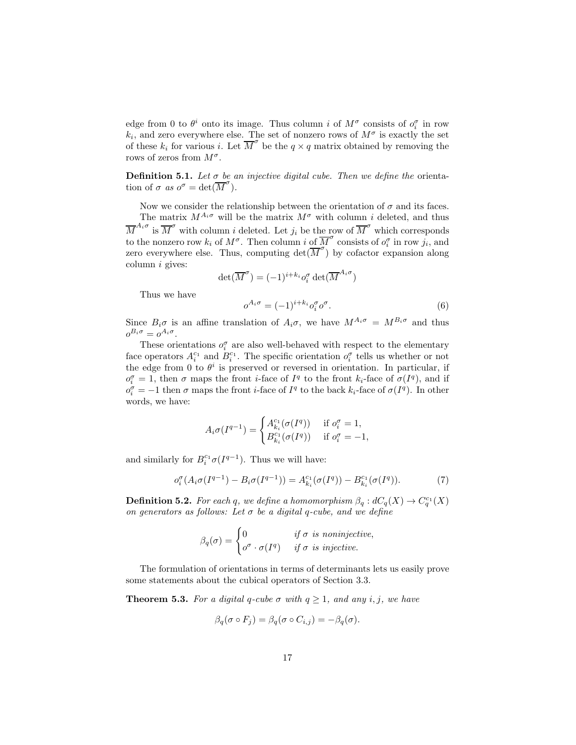edge from 0 to  $\theta^i$  onto its image. Thus column *i* of  $M^{\sigma}$  consists of  $o_i^{\sigma}$  in row  $k_i$ , and zero everywhere else. The set of nonzero rows of  $M^{\sigma}$  is exactly the set of these  $k_i$  for various i. Let  $\overline{M}^{\sigma}$  be the  $q \times q$  matrix obtained by removing the rows of zeros from  $M^{\sigma}$ .

**Definition 5.1.** Let  $\sigma$  be an injective digital cube. Then we define the orientation of  $\sigma$  as  $o^{\sigma} = \det(\overline{M}^{\sigma})$ .

Now we consider the relationship between the orientation of  $\sigma$  and its faces. The matrix  $M^{A_i\sigma}$  will be the matrix  $M^{\sigma}$  with column i deleted, and thus  $\overline{M}^{A_i \sigma}$  is  $\overline{M}^{\sigma}$  with column *i* deleted. Let  $j_i$  be the row of  $\overline{M}^{\sigma}$  which corresponds to the nonzero row  $k_i$  of  $M^{\sigma}$ . Then column i of  $\overline{M}^{\sigma}$  consists of  $o_i^{\sigma}$  in row  $j_i$ , and zero everywhere else. Thus, computing  $\det(\overline{M}^{\sigma})$  by cofactor expansion along column i gives:

$$
\det(\overline{M}^{\sigma}) = (-1)^{i+k_i} o_i^{\sigma} \det(\overline{M}^{A_i \sigma})
$$

Thus we have

$$
o^{A_i \sigma} = (-1)^{i + k_i} o_i^{\sigma} o^{\sigma}.
$$
 (6)

Since  $B_i\sigma$  is an affine translation of  $A_i\sigma$ , we have  $M^{A_i\sigma} = M^{B_i\sigma}$  and thus  $o^{B_i\sigma}=o^{A_i\sigma}.$ 

These orientations  $o_i^{\sigma}$  are also well-behaved with respect to the elementary face operators  $A_i^{c_1}$  and  $B_i^{c_1}$ . The specific orientation  $o_i^{\sigma}$  tells us whether or not the edge from 0 to  $\theta^i$  is preserved or reversed in orientation. In particular, if  $o_i^{\sigma} = 1$ , then  $\sigma$  maps the front *i*-face of  $I^q$  to the front  $k_i$ -face of  $\sigma(I^q)$ , and if  $o_i^{\sigma} = -1$  then  $\sigma$  maps the front *i*-face of  $I^q$  to the back  $k_i$ -face of  $\sigma(I^q)$ . In other words, we have:

$$
A_i \sigma(I^{q-1}) = \begin{cases} A_{k_i}^{c_1}(\sigma(I^q)) & \text{if } o_i^{\sigma} = 1, \\ B_{k_i}^{c_1}(\sigma(I^q)) & \text{if } o_i^{\sigma} = -1, \end{cases}
$$

and similarly for  $B_i^{c_1} \sigma(I^{q-1})$ . Thus we will have:

$$
o_i^{\sigma}(A_i \sigma(I^{q-1}) - B_i \sigma(I^{q-1})) = A_{k_i}^{c_1}(\sigma(I^q)) - B_{k_i}^{c_1}(\sigma(I^q)).
$$
\n(7)

**Definition 5.2.** For each q, we define a homomorphism  $\beta_q : dC_q(X) \to C_q^{c_1}(X)$ on generators as follows: Let  $\sigma$  be a digital q-cube, and we define

$$
\beta_q(\sigma) = \begin{cases} 0 & \text{if } \sigma \text{ is noninjective,} \\ o^{\sigma} \cdot \sigma(I^q) & \text{if } \sigma \text{ is injective.} \end{cases}
$$

The formulation of orientations in terms of determinants lets us easily prove some statements about the cubical operators of Section 3.3.

**Theorem 5.3.** For a digital q-cube  $\sigma$  with  $q \geq 1$ , and any i, j, we have

$$
\beta_q(\sigma \circ F_j) = \beta_q(\sigma \circ C_{i,j}) = -\beta_q(\sigma).
$$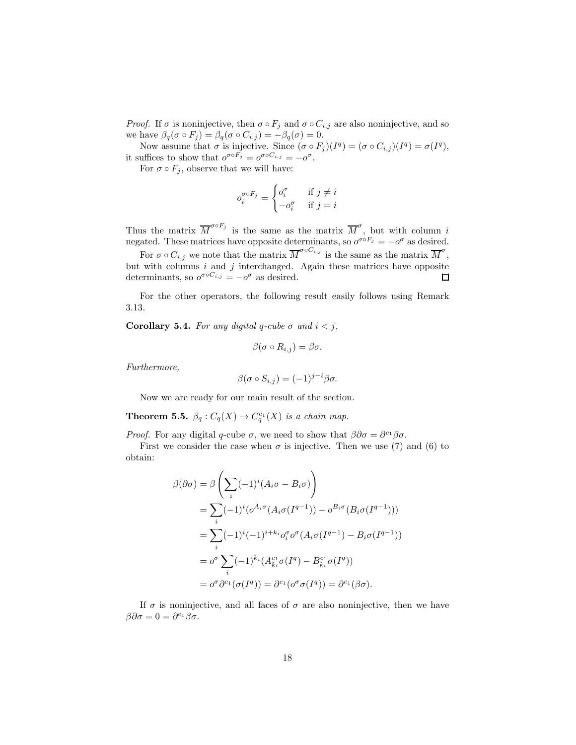*Proof.* If  $\sigma$  is noninjective, then  $\sigma \circ F_j$  and  $\sigma \circ C_{i,j}$  are also noninjective, and so we have  $\beta_q(\sigma \circ F_j) = \beta_q(\sigma \circ C_{i,j}) = -\beta_q(\sigma) = 0.$ 

Now assume that  $\sigma$  is injective. Since  $(\sigma \circ F_j)(I^q) = (\sigma \circ C_{i,j})(I^q) = \sigma(I^q)$ , it suffices to show that  $o^{\sigma \circ F_j} = o^{\sigma \circ C_{i,j}} = -o^{\sigma}$ .

For  $\sigma \circ F_j$ , observe that we will have:

$$
o_i^{\sigma \circ F_j} = \begin{cases} o_i^{\sigma} & \text{if } j \neq i \\ -o_i^{\sigma} & \text{if } j = i \end{cases}
$$

Thus the matrix  $\overline{M}^{\sigma \circ F_j}$  is the same as the matrix  $\overline{M}^{\sigma}$ , but with column i negated. These matrices have opposite determinants, so  $o^{\sigma \circ F_j} = -o^{\sigma}$  as desired.

For  $\sigma \circ C_{i,j}$  we note that the matrix  $\overline{M}^{\sigma \circ C_{i,j}}$  is the same as the matrix  $\overline{M}^{\sigma}$ , but with columns  $i$  and  $j$  interchanged. Again these matrices have opposite determinants, so  $o^{\sigma \circ C_{i,j}} = -o^{\sigma}$  as desired.  $\Box$ 

For the other operators, the following result easily follows using Remark 3.13.

Corollary 5.4. For any digital q-cube  $\sigma$  and  $i < j$ ,

$$
\beta(\sigma \circ R_{i,j}) = \beta \sigma.
$$

Furthermore,

$$
\beta(\sigma \circ S_{i,j}) = (-1)^{j-i} \beta \sigma.
$$

Now we are ready for our main result of the section.

**Theorem 5.5.**  $\beta_q : C_q(X) \to C_q^{c_1}(X)$  is a chain map.

*Proof.* For any digital q-cube  $\sigma$ , we need to show that  $\beta \partial \sigma = \partial^{c_1} \beta \sigma$ .

First we consider the case when  $\sigma$  is injective. Then we use (7) and (6) to obtain:

$$
\beta(\partial \sigma) = \beta \left( \sum_{i} (-1)^{i} (A_{i} \sigma - B_{i} \sigma) \right)
$$
  
= 
$$
\sum_{i} (-1)^{i} (\sigma^{A_{i} \sigma} (A_{i} \sigma (I^{q-1})) - \sigma^{B_{i} \sigma} (B_{i} \sigma (I^{q-1})))
$$
  
= 
$$
\sum_{i} (-1)^{i} (-1)^{i+k_{i}} \sigma_{i}^{\sigma} \sigma^{\sigma} (A_{i} \sigma (I^{q-1}) - B_{i} \sigma (I^{q-1}))
$$
  
= 
$$
\sigma^{\sigma} \sum_{i} (-1)^{k_{i}} (A_{k_{i}}^{c_{1}} \sigma (I^{q}) - B_{k_{i}}^{c_{1}} \sigma (I^{q}))
$$
  
= 
$$
\sigma^{\sigma} \partial^{c_{1}} (\sigma (I^{q})) = \partial^{c_{1}} (\sigma^{\sigma} \sigma (I^{q})) = \partial^{c_{1}} (\beta \sigma).
$$

If  $\sigma$  is noninjective, and all faces of  $\sigma$  are also noninjective, then we have  $\beta \partial \sigma = 0 = \partial^{c_1} \beta \sigma.$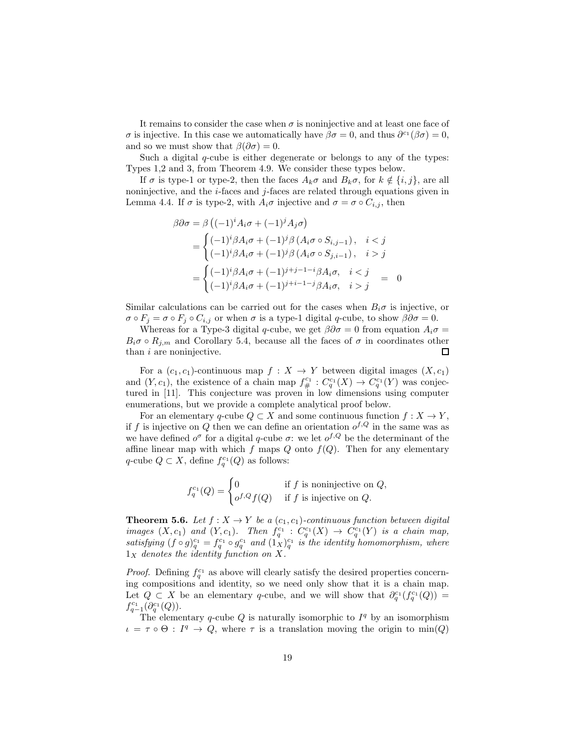It remains to consider the case when  $\sigma$  is noninjective and at least one face of σ is injective. In this case we automatically have  $\beta \sigma = 0$ , and thus  $\partial^{\alpha_1}(\beta \sigma) = 0$ , and so we must show that  $\beta(\partial \sigma) = 0$ .

Such a digital  $q$ -cube is either degenerate or belongs to any of the types: Types 1,2 and 3, from Theorem 4.9. We consider these types below.

If  $\sigma$  is type-1 or type-2, then the faces  $A_k\sigma$  and  $B_k\sigma$ , for  $k \notin \{i, j\}$ , are all noninjective, and the  $i$ -faces and  $j$ -faces are related through equations given in Lemma 4.4. If  $\sigma$  is type-2, with  $A_i\sigma$  injective and  $\sigma = \sigma \circ C_{i,j}$ , then

$$
\beta \partial \sigma = \beta \left( (-1)^i A_i \sigma + (-1)^j A_j \sigma \right)
$$
  
= 
$$
\begin{cases} (-1)^i \beta A_i \sigma + (-1)^j \beta (A_i \sigma \circ S_{i,j-1}), & i < j \\ (-1)^i \beta A_i \sigma + (-1)^j \beta (A_i \sigma \circ S_{j,i-1}), & i > j \end{cases}
$$
  
= 
$$
\begin{cases} (-1)^i \beta A_i \sigma + (-1)^{j+j-1-i} \beta A_i \sigma, & i < j \\ (-1)^i \beta A_i \sigma + (-1)^{j+i-1-j} \beta A_i \sigma, & i > j \end{cases} = 0
$$

Similar calculations can be carried out for the cases when  $B_i\sigma$  is injective, or  $\sigma \circ F_i = \sigma \circ F_i \circ C_{i,j}$  or when  $\sigma$  is a type-1 digital q-cube, to show  $\beta \partial \sigma = 0$ .

Whereas for a Type-3 digital q-cube, we get  $\beta \partial \sigma = 0$  from equation  $A_i \sigma =$  $B_i\sigma \circ R_{j,m}$  and Corollary 5.4, because all the faces of  $\sigma$  in coordinates other than  $i$  are noninjective.  $\Box$ 

For a  $(c_1, c_1)$ -continuous map  $f : X \to Y$  between digital images  $(X, c_1)$ and  $(Y, c_1)$ , the existence of a chain map  $f_{\#}^{c_1} : C_q^{c_1}(X) \to C_q^{c_1}(Y)$  was conjectured in [11]. This conjecture was proven in low dimensions using computer enumerations, but we provide a complete analytical proof below.

For an elementary q-cube  $Q \subset X$  and some continuous function  $f : X \to Y$ , if f is injective on Q then we can define an orientation  $o^{f,Q}$  in the same was as we have defined  $o^{\sigma}$  for a digital q-cube  $\sigma$ : we let  $o^{f,Q}$  be the determinant of the affine linear map with which f maps  $Q$  onto  $f(Q)$ . Then for any elementary q-cube  $Q \subset X$ , define  $f_q^{c_1}(Q)$  as follows:

$$
f_q^{c_1}(Q) = \begin{cases} 0 & \text{if } f \text{ is noninjective on } Q, \\ o^{f,Q}f(Q) & \text{if } f \text{ is injective on } Q. \end{cases}
$$

**Theorem 5.6.** Let  $f: X \to Y$  be a  $(c_1, c_1)$ -continuous function between digital images  $(X, c_1)$  and  $(Y, c_1)$ . Then  $f_q^{c_1} : C_q^{c_1}(X) \to C_q^{c_1}(Y)$  is a chain map, satisfying  $(f \circ g)_{q}^{c_1} = f_q^{c_1} \circ g_q^{c_1}$  and  $(1_X)^{c_1}_{q}$  is the identity homomorphism, where  $1_X$  denotes the identity function on X.

*Proof.* Defining  $f_q^{c_1}$  as above will clearly satisfy the desired properties concerning compositions and identity, so we need only show that it is a chain map. Let  $Q \subset X$  be an elementary q-cube, and we will show that  $\partial_q^{c_1}(f_q^{c_1}(Q)) =$  $f_{q-1}^{c_1}(\partial_q^{c_1}(Q)).$ 

The elementary q-cube Q is naturally isomorphic to  $I<sup>q</sup>$  by an isomorphism  $\iota = \tau \circ \Theta : I^q \to Q$ , where  $\tau$  is a translation moving the origin to min(Q)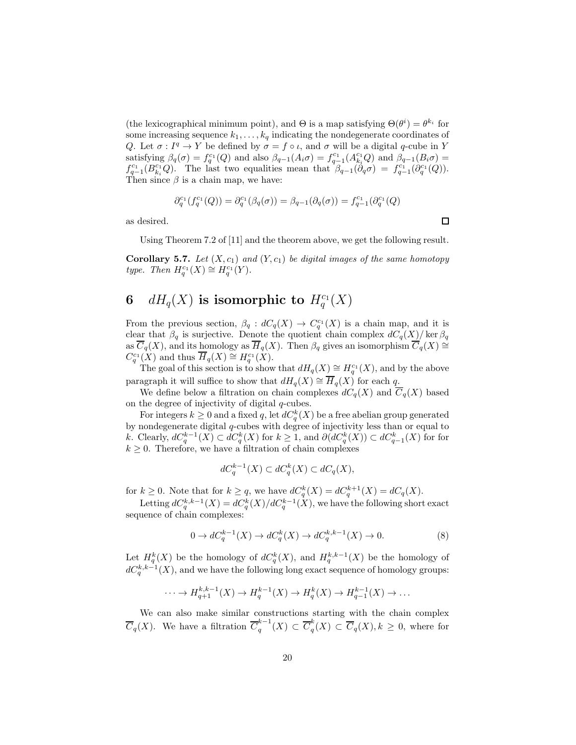(the lexicographical minimum point), and  $\Theta$  is a map satisfying  $\Theta(\theta^i) = \theta^{k_i}$  for some increasing sequence  $k_1, \ldots, k_q$  indicating the nondegenerate coordinates of Q. Let  $\sigma: I^q \to Y$  be defined by  $\sigma = f \circ \iota$ , and  $\sigma$  will be a digital q-cube in Y satisfying  $\beta_q(\sigma) = f_q^{c_1}(Q)$  and also  $\beta_{q-1}(A_i \sigma) = f_{q-1}^{c_1}(A_{k_i}^{c_1} Q)$  and  $\beta_{q-1}(B_i \sigma) =$  $f_{q-1}^{c_1}(B_{k_i}^{c_1}Q)$ . The last two equalities mean that  $\beta_{q-1}(\partial_q \sigma) = f_{q-1}^{c_1}(\partial_q^{c_1}(Q))$ . Then since  $\beta$  is a chain map, we have:

$$
\partial_q^{c_1}(f_q^{c_1}(Q)) = \partial_q^{c_1}(\beta_q(\sigma)) = \beta_{q-1}(\partial_q(\sigma)) = f_{q-1}^{c_1}(\partial_q^{c_1}(Q))
$$

as desired.

Using Theorem 7.2 of [11] and the theorem above, we get the following result.

**Corollary 5.7.** Let  $(X, c_1)$  and  $(Y, c_1)$  be digital images of the same homotopy type. Then  $H_q^{c_1}(X) \cong H_q^{c_1}(Y)$ .

# 6  $dH_q(X)$  is isomorphic to  $H_q^{\rm c_1}(X)$

From the previous section,  $\beta_q : dC_q(X) \to C_q^{c_1}(X)$  is a chain map, and it is clear that  $\beta_q$  is surjective. Denote the quotient chain complex  $dC_q(X)/\ker \beta_q$ as  $\overline{C}_q(X)$ , and its homology as  $\overline{H}_q(X)$ . Then  $\beta_q$  gives an isomorphism  $\overline{C}_q(X) \cong$  $C_q^{c_1}(X)$  and thus  $\overline{H}_q(X) \cong H_q^{c_1}(X)$ .

The goal of this section is to show that  $dH_q(X) \cong H_q^{c_1}(X)$ , and by the above paragraph it will suffice to show that  $dH_q(X) \cong \overline{H}_q(X)$  for each q.

We define below a filtration on chain complexes  $dC_q(X)$  and  $\overline{C}_q(X)$  based on the degree of injectivity of digital  $q$ -cubes.

For integers  $k \geq 0$  and a fixed q, let  $dC_q^k(X)$  be a free abelian group generated by nondegenerate digital q-cubes with degree of injectivity less than or equal to k. Clearly,  $dC_q^{k-1}(X) \subset dC_q^k(X)$  for  $k \geq 1$ , and  $\partial (dC_q^k(X)) \subset dC_{q-1}^k(X)$  for for  $k \geq 0$ . Therefore, we have a filtration of chain complexes

$$
dC_q^{k-1}(X) \subset dC_q^k(X) \subset dC_q(X),
$$

for  $k \geq 0$ . Note that for  $k \geq q$ , we have  $dC_q^k(X) = dC_q^{k+1}(X) = dC_q(X)$ .

Letting  $dC_q^{k,k-1}(X) = dC_q^k(X)/dC_q^{k-1}(X)$ , we have the following short exact sequence of chain complexes:

$$
0 \to dC_q^{k-1}(X) \to dC_q^k(X) \to dC_q^{k,k-1}(X) \to 0.
$$
 (8)

Let  $H_q^k(X)$  be the homology of  $dC_q^k(X)$ , and  $H_q^{k,k-1}(X)$  be the homology of  $dC_q^{k,k-1}(X)$ , and we have the following long exact sequence of homology groups:

$$
\cdots \to H_{q+1}^{k,k-1}(X) \to H_q^{k-1}(X) \to H_q^k(X) \to H_{q-1}^{k-1}(X) \to \dots
$$

We can also make similar constructions starting with the chain complex  $\overline{C}_q(X)$ . We have a filtration  $\overline{C}_q^{k-1}$  $\overline{G}_q^{k-1}(X) \subset \overline{C}_q^k$  $\binom{n}{q}(X) \subset C_q(X), k \geq 0$ , where for

 $\Box$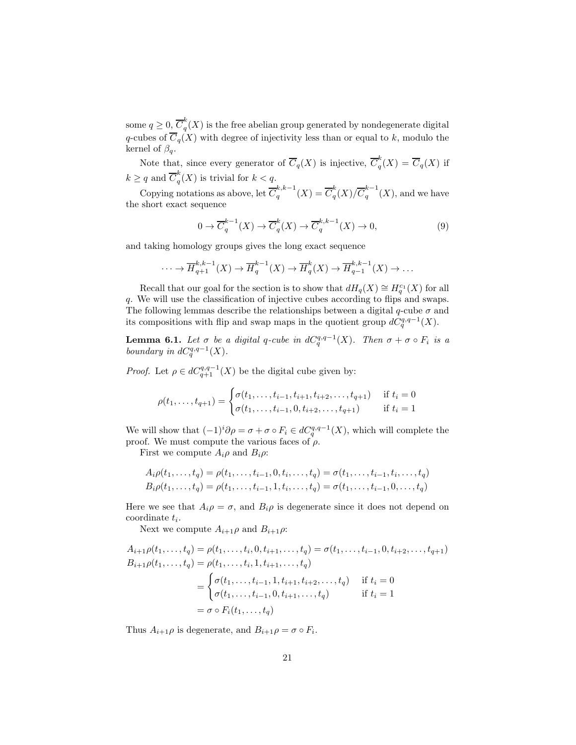some  $q \geq 0, \overline{C}_q^k$  $q(X)$  is the free abelian group generated by nondegenerate digital q-cubes of  $\overline{C}_q(X)$  with degree of injectivity less than or equal to k, modulo the kernel of  $\beta_a$ .

Note that, since every generator of  $\overline{C}_q(X)$  is injective,  $\overline{C}_q^k$  $\binom{n}{q}(X) = C_q(X)$  if  $k \geq q$  and  $\overline{C}_q^k$  $q(x)$  is trivial for  $k < q$ .

Copying notations as above, let  $\overline{C}_a^{k,k-1}$  $q^{k,k-1}(X) = \overline{C}_q^k$  $\frac{k}{q}(X)/\overline{C}_q^{k-1}$  $\int_{q}^{n}$  (X), and we have the short exact sequence

$$
0 \to \overline{C}_q^{k-1}(X) \to \overline{C}_q^k(X) \to \overline{C}_q^{k,k-1}(X) \to 0,
$$
\n(9)

and taking homology groups gives the long exact sequence

$$
\cdots \to \overline{H}_{q+1}^{k,k-1}(X) \to \overline{H}_q^{k-1}(X) \to \overline{H}_q^k(X) \to \overline{H}_{q-1}^{k,k-1}(X) \to \cdots
$$

Recall that our goal for the section is to show that  $dH_q(X) \cong H_q^{c_1}(X)$  for all q. We will use the classification of injective cubes according to flips and swaps. The following lemmas describe the relationships between a digital  $q$ -cube  $\sigma$  and its compositions with flip and swap maps in the quotient group  $dC_q^{q,q-1}(X)$ .

**Lemma 6.1.** Let  $\sigma$  be a digital q-cube in  $dC_q^{q,q-1}(X)$ . Then  $\sigma + \sigma \circ F_i$  is a boundary in  $dC_q^{q,q-1}(X)$ .

*Proof.* Let  $\rho \in dC_{q+1}^{q,q-1}(X)$  be the digital cube given by:

$$
\rho(t_1,\ldots,t_{q+1}) = \begin{cases} \sigma(t_1,\ldots,t_{i-1},t_{i+1},t_{i+2},\ldots,t_{q+1}) & \text{if } t_i = 0\\ \sigma(t_1,\ldots,t_{i-1},0,t_{i+2},\ldots,t_{q+1}) & \text{if } t_i = 1 \end{cases}
$$

We will show that  $(-1)^i \partial \rho = \sigma + \sigma \circ F_i \in dC_q^{q,q-1}(X)$ , which will complete the proof. We must compute the various faces of  $\rho$ .

First we compute  $A_i \rho$  and  $B_i \rho$ :

$$
A_i \rho(t_1, \ldots, t_q) = \rho(t_1, \ldots, t_{i-1}, 0, t_i, \ldots, t_q) = \sigma(t_1, \ldots, t_{i-1}, t_i, \ldots, t_q)
$$
  
\n
$$
B_i \rho(t_1, \ldots, t_q) = \rho(t_1, \ldots, t_{i-1}, 1, t_i, \ldots, t_q) = \sigma(t_1, \ldots, t_{i-1}, 0, \ldots, t_q)
$$

Here we see that  $A_i \rho = \sigma$ , and  $B_i \rho$  is degenerate since it does not depend on  $\text{coordinate } t_i.$ 

Next we compute  $A_{i+1}\rho$  and  $B_{i+1}\rho$ :

$$
A_{i+1}\rho(t_1,\ldots,t_q) = \rho(t_1,\ldots,t_i,0,t_{i+1},\ldots,t_q) = \sigma(t_1,\ldots,t_{i-1},0,t_{i+2},\ldots,t_{q+1})
$$
  
\n
$$
B_{i+1}\rho(t_1,\ldots,t_q) = \rho(t_1,\ldots,t_i,1,t_{i+1},\ldots,t_q)
$$
  
\n
$$
= \begin{cases} \sigma(t_1,\ldots,t_{i-1},1,t_{i+1},t_{i+2},\ldots,t_q) & \text{if } t_i = 0\\ \sigma(t_1,\ldots,t_{i-1},0,t_{i+1},\ldots,t_q) & \text{if } t_i = 1 \end{cases}
$$
  
\n
$$
= \sigma \circ F_i(t_1,\ldots,t_q)
$$

Thus  $A_{i+1}\rho$  is degenerate, and  $B_{i+1}\rho = \sigma \circ F_i$ .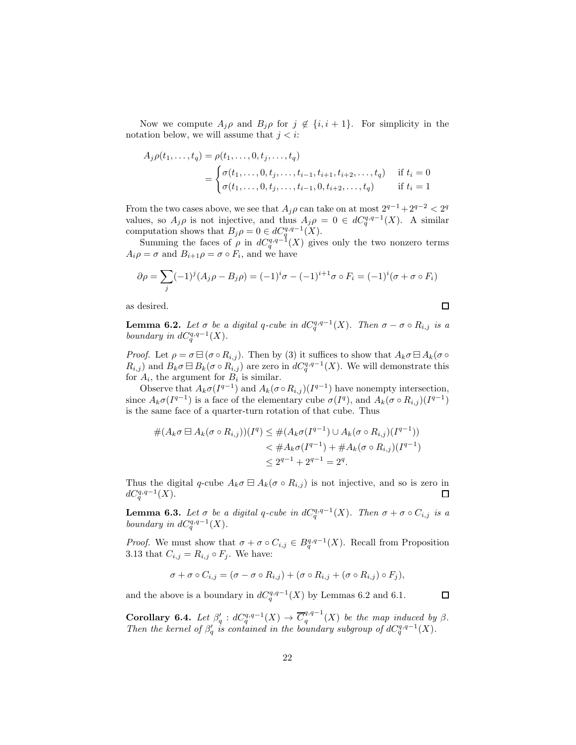Now we compute  $A_j \rho$  and  $B_j \rho$  for  $j \notin \{i, i + 1\}$ . For simplicity in the notation below, we will assume that  $j < i$ :

$$
A_j \rho(t_1, \ldots, t_q) = \rho(t_1, \ldots, 0, t_j, \ldots, t_q)
$$
  
= 
$$
\begin{cases} \sigma(t_1, \ldots, 0, t_j, \ldots, t_{i-1}, t_{i+1}, t_{i+2}, \ldots, t_q) & \text{if } t_i = 0 \\ \sigma(t_1, \ldots, 0, t_j, \ldots, t_{i-1}, 0, t_{i+2}, \ldots, t_q) & \text{if } t_i = 1 \end{cases}
$$

From the two cases above, we see that  $A_j \rho$  can take on at most  $2^{q-1} + 2^{q-2} < 2^q$ values, so  $A_j \rho$  is not injective, and thus  $A_j \rho = 0 \in dC_q^{q,q-1}(X)$ . A similar computation shows that  $B_j \rho = 0 \in dC_q^{q,q-1}(X)$ .

Summing the faces of  $\rho$  in  $dC_q^{q,q-1}(X)$  gives only the two nonzero terms  $A_i \rho = \sigma$  and  $B_{i+1} \rho = \sigma \circ F_i$ , and we have

$$
\partial \rho = \sum_{j} (-1)^{j} (A_{j} \rho - B_{j} \rho) = (-1)^{i} \sigma - (-1)^{i+1} \sigma \circ F_{i} = (-1)^{i} (\sigma + \sigma \circ F_{i})
$$

as desired.

**Lemma 6.2.** Let  $\sigma$  be a digital q-cube in  $dC_q^{q,q-1}(X)$ . Then  $\sigma - \sigma \circ R_{i,j}$  is a boundary in  $dC_q^{q,q-1}(X)$ .

*Proof.* Let  $\rho = \sigma \boxminus (\sigma \circ R_{i,j})$ . Then by (3) it suffices to show that  $A_k \sigma \boxminus A_k (\sigma \circ R_{i,j})$  $R_{i,j}$  and  $B_k \sigma \boxminus B_k (\sigma \circ R_{i,j})$  are zero in  $dC_q^{q,q-1}(X)$ . We will demonstrate this for  $A_i$ , the argument for  $B_i$  is similar.

Observe that  $A_k \sigma(I^{q-1})$  and  $A_k(\sigma \circ R_{i,j})(I^{q-1})$  have nonempty intersection, since  $A_k \sigma(I^{q-1})$  is a face of the elementary cube  $\sigma(I^q)$ , and  $A_k(\sigma \circ R_{i,j})(I^{q-1})$ is the same face of a quarter-turn rotation of that cube. Thus

$$
#(A_k \sigma \boxminus A_k(\sigma \circ R_{i,j}))(I^q) \leq #(A_k \sigma(I^{q-1}) \cup A_k(\sigma \circ R_{i,j})(I^{q-1}))
$$
  

$$
< #A_k \sigma(I^{q-1}) + #A_k(\sigma \circ R_{i,j})(I^{q-1})
$$
  

$$
\leq 2^{q-1} + 2^{q-1} = 2^q.
$$

Thus the digital q-cube  $A_k \sigma \boxminus A_k(\sigma \circ R_{i,j})$  is not injective, and so is zero in  $dC_q^{q,q-1}(X)$ . 口

**Lemma 6.3.** Let  $\sigma$  be a digital q-cube in  $dC_q^{q,q-1}(X)$ . Then  $\sigma + \sigma \circ C_{i,j}$  is a boundary in  $dC_q^{q,q-1}(X)$ .

*Proof.* We must show that  $\sigma + \sigma \circ C_{i,j} \in B_q^{q,q-1}(X)$ . Recall from Proposition 3.13 that  $C_{i,j} = R_{i,j} \circ F_j$ . We have:

$$
\sigma + \sigma \circ C_{i,j} = (\sigma - \sigma \circ R_{i,j}) + (\sigma \circ R_{i,j} + (\sigma \circ R_{i,j}) \circ F_j),
$$

and the above is a boundary in  $dC_q^{q,q-1}(X)$  by Lemmas 6.2 and 6.1.

 $\Box$ 

 $\Box$ 

Corollary 6.4. Let  $\beta'_q : dC_q^{q,q-1}(X) \to \overline{C}_q^{q,q-1}$  $q^{q,q-1}(X)$  be the map induced by  $\beta$ . Then the kernel of  $\beta'_q$  is contained in the boundary subgroup of  $dC_q^{q,q-1}(X)$ .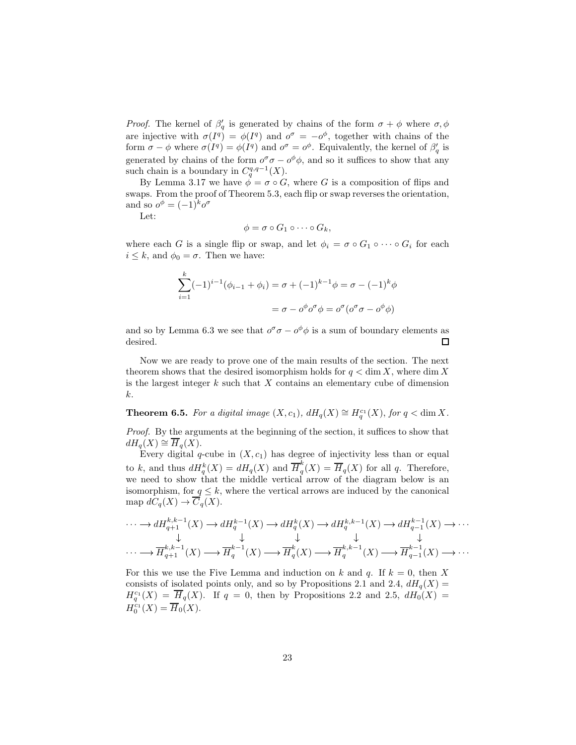*Proof.* The kernel of  $\beta'_{q}$  is generated by chains of the form  $\sigma + \phi$  where  $\sigma, \phi$ are injective with  $\sigma(I^q) = \phi(I^q)$  and  $o^{\sigma} = -o^{\phi}$ , together with chains of the form  $\sigma - \phi$  where  $\sigma(I^q) = \phi(I^q)$  and  $o^{\sigma} = o^{\phi}$ . Equivalently, the kernel of  $\beta'_q$  is generated by chains of the form  $o^{\sigma}\sigma - o^{\phi}\phi$ , and so it suffices to show that any such chain is a boundary in  $C_q^{q,q-1}(X)$ .

By Lemma 3.17 we have  $\phi = \sigma \circ G$ , where G is a composition of flips and swaps. From the proof of Theorem 5.3, each flip or swap reverses the orientation, and so  $o^{\phi} = (-1)^{k} o^{\sigma}$ 

Let:

$$
\phi = \sigma \circ G_1 \circ \cdots \circ G_k,
$$

where each G is a single flip or swap, and let  $\phi_i = \sigma \circ G_1 \circ \cdots \circ G_i$  for each  $i \leq k$ , and  $\phi_0 = \sigma$ . Then we have:

$$
\sum_{i=1}^{k} (-1)^{i-1} (\phi_{i-1} + \phi_i) = \sigma + (-1)^{k-1} \phi = \sigma - (-1)^k \phi
$$

$$
= \sigma - \phi^{\phi} \sigma^{\sigma} \phi = \phi^{\sigma} (\phi^{\sigma} \sigma - \phi^{\phi} \phi)
$$

and so by Lemma 6.3 we see that  $o^{\sigma}\sigma - o^{\phi}\phi$  is a sum of boundary elements as desired.  $\Box$ 

Now we are ready to prove one of the main results of the section. The next theorem shows that the desired isomorphism holds for  $q < \dim X$ , where  $\dim X$ is the largest integer  $k$  such that  $X$  contains an elementary cube of dimension k.

**Theorem 6.5.** For a digital image  $(X, c_1)$ ,  $dH_q(X) \cong H_q^{c_1}(X)$ , for  $q < \dim X$ .

Proof. By the arguments at the beginning of the section, it suffices to show that  $dH_q(X) \cong \overline{H}_q(X)$ .

Every digital  $q$ -cube in  $(X, c_1)$  has degree of injectivity less than or equal to k, and thus  $dH_q^k(X) = dH_q(X)$  and  $\overline{H}_q^k$  $q''_q(X) = H_q(X)$  for all q. Therefore, we need to show that the middle vertical arrow of the diagram below is an isomorphism, for  $q \leq k$ , where the vertical arrows are induced by the canonical map  $dC_q(X) \to \overline{C}_q(X)$ .

$$
\cdots \longrightarrow dH_{q+1}^{k,k-1}(X) \longrightarrow dH_q^{k-1}(X) \longrightarrow dH_q^{k}(X) \longrightarrow dH_q^{k,k-1}(X) \longrightarrow dH_{q-1}^{k-1}(X) \longrightarrow \cdots
$$
  
\n
$$
\downarrow \qquad \qquad \downarrow \qquad \qquad \downarrow \qquad \qquad \downarrow
$$
  
\n
$$
\cdots \longrightarrow \overline{H}_{q+1}^{k,k-1}(X) \longrightarrow \overline{H}_q^{k-1}(X) \longrightarrow \overline{H}_q^{k}(X) \longrightarrow \overline{H}_q^{k,k-1}(X) \longrightarrow \cdots
$$

For this we use the Five Lemma and induction on k and q. If  $k = 0$ , then X consists of isolated points only, and so by Propositions 2.1 and 2.4,  $dH_q(X)$  =  $H_q^{c_1}(X) = \overline{H}_q(X)$ . If  $q = 0$ , then by Propositions 2.2 and 2.5,  $dH_0(X) =$  $H_0^{c_1}(X) = \overline{H}_0(X).$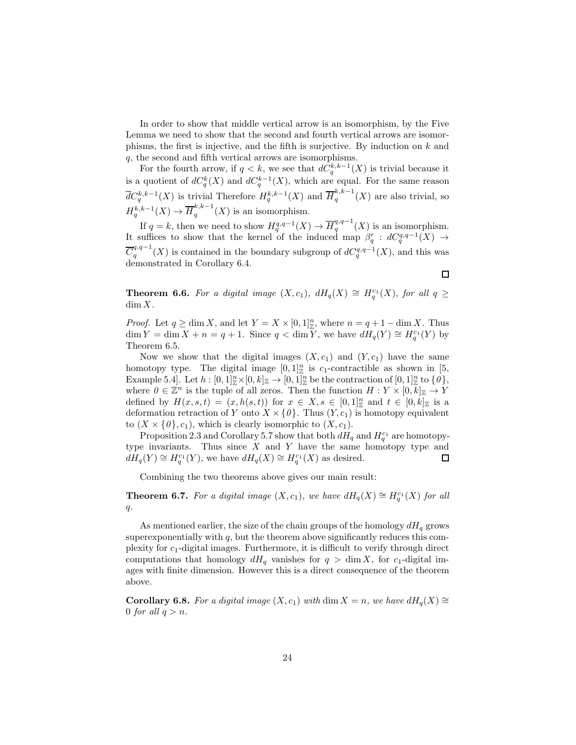In order to show that middle vertical arrow is an isomorphism, by the Five Lemma we need to show that the second and fourth vertical arrows are isomorphisms, the first is injective, and the fifth is surjective. By induction on  $k$  and q, the second and fifth vertical arrows are isomorphisms.

For the fourth arrow, if  $q < k$ , we see that  $d\tilde{C}^{k,k-1}_q(X)$  is trivial because it is a quotient of  $dC_q^k(X)$  and  $dC_q^{k-1}(X)$ , which are equal. For the same reason  $\overline{d}C_q^{k,k-1}(X)$  is trivial Therefore  $H_q^{k,k-1}(X)$  and  $\overline{H}_q^{k,k-1}$  $\binom{n}{q}$  (X) are also trivial, so  $H_q^{k,k-1}(X) \to \overline{H}_q^{k,k-1}$  $\binom{n}{q}$  (X) is an isomorphism.

If  $q = k$ , then we need to show  $H_q^{q,q-1}(X) \to \overline{H}_q^{q,q-1}$  $q^{q,q-1}(X)$  is an isomorphism. It suffices to show that the kernel of the induced map  $\beta'_q$  :  $dC_q^{q,q-1}(X) \to$  $\overline{C}_a^{q,q-1}$  $q_q^{q,q-1}(X)$  is contained in the boundary subgroup of  $dC_q^{q,q-1}(X)$ , and this was demonstrated in Corollary 6.4.

**Theorem 6.6.** For a digital image  $(X, c_1)$ ,  $dH_q(X) \cong H_q^{c_1}(X)$ , for all  $q \geq$  $\dim X$ .

*Proof.* Let  $q \ge \dim X$ , and let  $Y = X \times [0,1]^n_{\mathbb{Z}}$ , where  $n = q + 1 - \dim X$ . Thus  $\dim Y = \dim X + n = q + 1$ . Since  $q < \dim Y$ , we have  $dH_q(Y) \cong H_q^{c_1}(Y)$  by Theorem 6.5.

Now we show that the digital images  $(X, c_1)$  and  $(Y, c_1)$  have the same homotopy type. The digital image  $[0,1]_{\mathbb{Z}}^n$  is  $c_1$ -contractible as shown in [5, Example 5.4. Let  $h: [0,1]^n_\mathbb{Z}\times [0,k]_\mathbb{Z} \to [0,1]^n_\mathbb{Z}$  be the contraction of  $[0,1]^n_\mathbb{Z}$  to  $\{0\},$ where  $0 \in \mathbb{Z}^n$  is the tuple of all zeros. Then the function  $H: Y \times [0, k]_{\mathbb{Z}} \to Y$ defined by  $H(x, s, t) = (x, h(s, t))$  for  $x \in X, s \in [0, 1]^n_{\mathbb{Z}}$  and  $t \in [0, k]_{\mathbb{Z}}$  is a deformation retraction of Y onto  $X \times \{0\}$ . Thus  $(Y, c_1)$  is homotopy equivalent to  $(X \times \{0\}, c_1)$ , which is clearly isomorphic to  $(X, c_1)$ .

Proposition 2.3 and Corollary 5.7 show that both  $dH_q$  and  $H_q^{c_1}$  are homotopytype invariants. Thus since  $X$  and  $Y$  have the same homotopy type and  $dH_q(Y) \cong H_q^{c_1}(Y)$ , we have  $dH_q(X) \cong H_q^{c_1}(X)$  as desired. 口

Combining the two theorems above gives our main result:

**Theorem 6.7.** For a digital image  $(X, c_1)$ , we have  $dH_q(X) \cong H_q^{c_1}(X)$  for all  $q$ .

As mentioned earlier, the size of the chain groups of the homology  $dH_q$  grows superexponentially with  $q$ , but the theorem above significantly reduces this complexity for  $c_1$ -digital images. Furthermore, it is difficult to verify through direct computations that homology  $dH_q$  vanishes for  $q > \dim X$ , for c<sub>1</sub>-digital images with finite dimension. However this is a direct consequence of the theorem above.

**Corollary 6.8.** For a digital image  $(X, c_1)$  with dim  $X = n$ , we have  $dH_q(X) \cong$ 0 for all  $q > n$ .

 $\Box$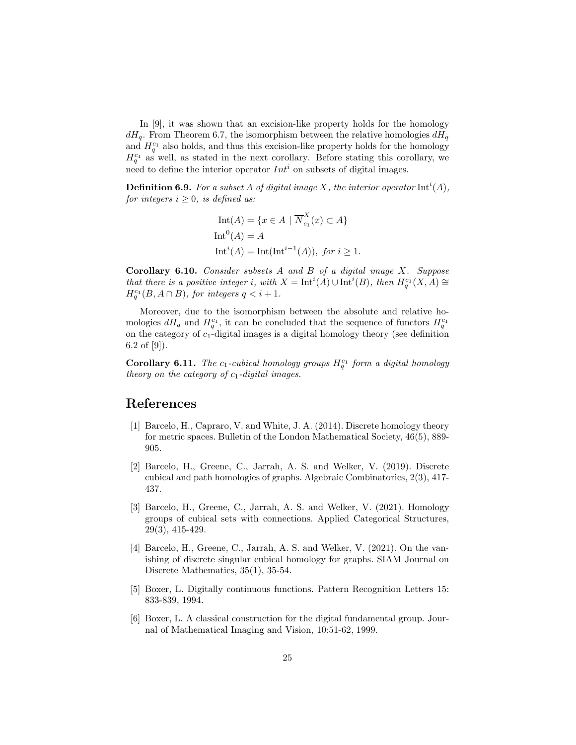In [9], it was shown that an excision-like property holds for the homology  $dH_q$ . From Theorem 6.7, the isomorphism between the relative homologies  $dH_q$ and  $H_q^{c_1}$  also holds, and thus this excision-like property holds for the homology  $H_q^{c_1}$  as well, as stated in the next corollary. Before stating this corollary, we need to define the interior operator  $Int^i$  on subsets of digital images.

**Definition 6.9.** For a subset A of digital image X, the interior operator  $\text{Int}^i(A)$ , for integers  $i \geq 0$ , is defined as:

$$
Int(A) = \{x \in A \mid \overline{N}_{c_1}^X(x) \subset A\}
$$
  
\n
$$
Int^0(A) = A
$$
  
\n
$$
Int^{i}(A) = Int(int^{i-1}(A)), \text{ for } i \ge 1.
$$

Corollary 6.10. Consider subsets A and B of a digital image X. Suppose that there is a positive integer i, with  $X = \text{Int}^i(A) \cup \text{Int}^i(B)$ , then  $H_q^{c_1}(X,A) \cong$  $H_q^{c_1}(B, A \cap B)$ , for integers  $q < i+1$ .

Moreover, due to the isomorphism between the absolute and relative homologies  $dH_q$  and  $H_q^{c_1}$ , it can be concluded that the sequence of functors  $H_q^{c_1}$ on the category of  $c_1$ -digital images is a digital homology theory (see definition 6.2 of [9]).

**Corollary 6.11.** The  $c_1$ -cubical homology groups  $H_q^{c_1}$  form a digital homology theory on the category of  $c_1$ -digital images.

## References

- [1] Barcelo, H., Capraro, V. and White, J. A. (2014). Discrete homology theory for metric spaces. Bulletin of the London Mathematical Society, 46(5), 889- 905.
- [2] Barcelo, H., Greene, C., Jarrah, A. S. and Welker, V. (2019). Discrete cubical and path homologies of graphs. Algebraic Combinatorics, 2(3), 417- 437.
- [3] Barcelo, H., Greene, C., Jarrah, A. S. and Welker, V. (2021). Homology groups of cubical sets with connections. Applied Categorical Structures, 29(3), 415-429.
- [4] Barcelo, H., Greene, C., Jarrah, A. S. and Welker, V. (2021). On the vanishing of discrete singular cubical homology for graphs. SIAM Journal on Discrete Mathematics,  $35(1)$ ,  $35-54$ .
- [5] Boxer, L. Digitally continuous functions. Pattern Recognition Letters 15: 833-839, 1994.
- [6] Boxer, L. A classical construction for the digital fundamental group. Journal of Mathematical Imaging and Vision, 10:51-62, 1999.